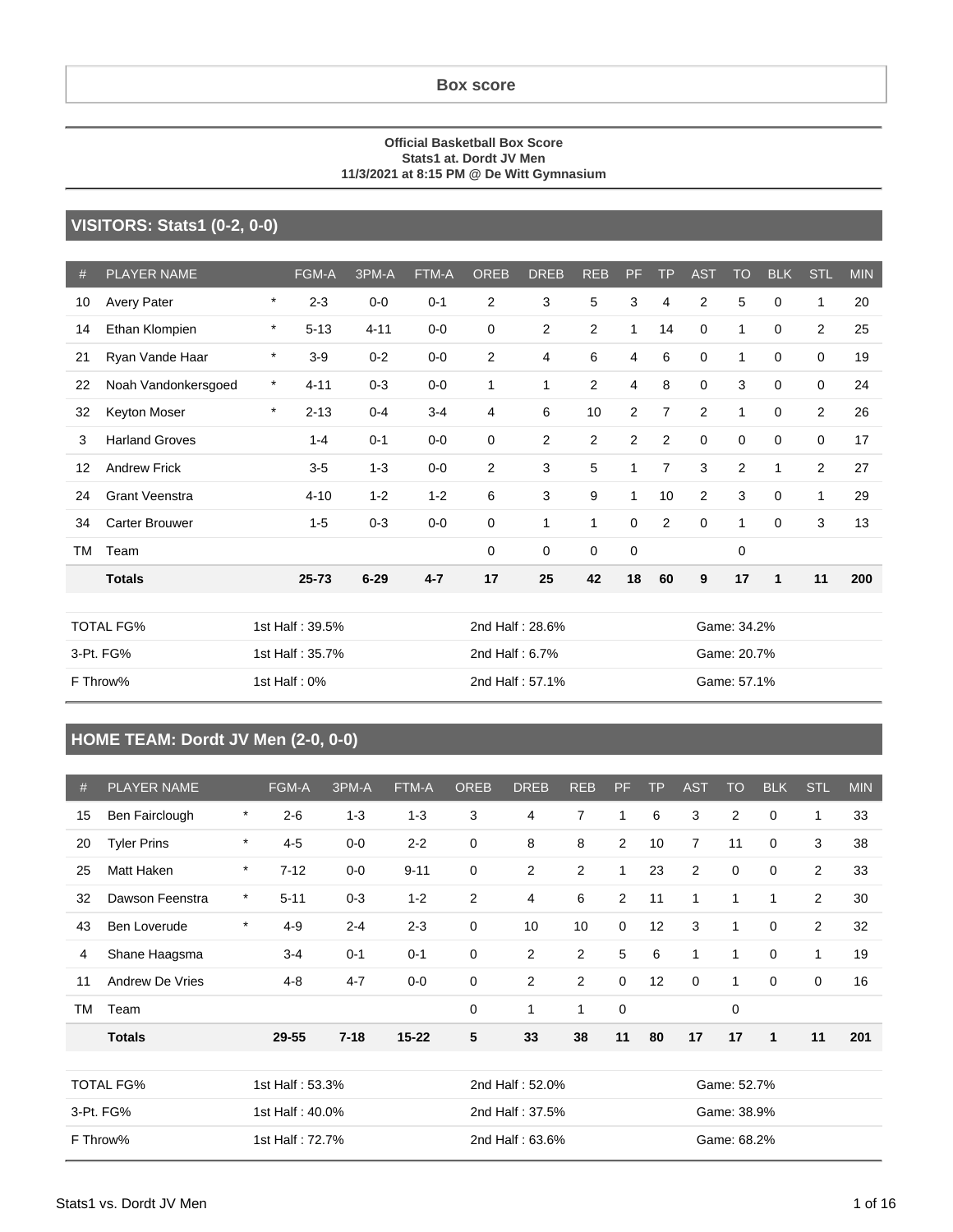#### **Box score**

#### **Official Basketball Box Score Stats1 at. Dordt JV Men 11/3/2021 at 8:15 PM @ De Witt Gymnasium**

#### **VISITORS: Stats1 (0-2, 0-0)**

| #         | PLAYER NAME           |         | FGM-A           | 3PM-A    | FTM-A   | <b>OREB</b>     | <b>DREB</b>     | <b>REB</b>     | PF             | <b>TP</b>      | <b>AST</b>     | TO             | <b>BLK</b>   | <b>STL</b>     | <b>MIN</b> |
|-----------|-----------------------|---------|-----------------|----------|---------|-----------------|-----------------|----------------|----------------|----------------|----------------|----------------|--------------|----------------|------------|
| 10        | Avery Pater           | $\star$ | $2 - 3$         | $0-0$    | $0 - 1$ | $\overline{2}$  | 3               | 5              | 3              | 4              | $\overline{2}$ | 5              | $\mathbf 0$  | 1              | 20         |
| 14        | Ethan Klompien        | $\star$ | $5 - 13$        | $4 - 11$ | $0-0$   | $\mathbf 0$     | $\mathbf{2}$    | $\overline{2}$ | 1              | 14             | 0              | $\mathbf{1}$   | $\mathbf 0$  | $\overline{2}$ | 25         |
| 21        | Ryan Vande Haar       | $\star$ | $3-9$           | $0 - 2$  | $0-0$   | $\overline{2}$  | 4               | 6              | 4              | 6              | $\mathbf 0$    | $\mathbf{1}$   | $\mathbf 0$  | 0              | 19         |
| 22        | Noah Vandonkersgoed   | $\star$ | $4 - 11$        | $0 - 3$  | $0-0$   | 1               | 1               | $\overline{2}$ | 4              | 8              | $\mathbf 0$    | 3              | $\mathbf 0$  | $\mathbf 0$    | 24         |
| 32        | Keyton Moser          | $\star$ | $2 - 13$        | $0 - 4$  | $3 - 4$ | 4               | 6               | 10             | $\overline{2}$ | $\overline{7}$ | 2              | $\mathbf{1}$   | $\mathbf 0$  | $\overline{2}$ | 26         |
| 3         | <b>Harland Groves</b> |         | $1 - 4$         | $0 - 1$  | $0-0$   | 0               | 2               | $\overline{2}$ | 2              | $\overline{2}$ | 0              | 0              | $\mathbf 0$  | 0              | 17         |
| 12        | <b>Andrew Frick</b>   |         | $3-5$           | $1 - 3$  | $0-0$   | $\overline{2}$  | 3               | 5              | 1              | $\overline{7}$ | 3              | $\overline{2}$ | 1            | $\overline{2}$ | 27         |
| 24        | <b>Grant Veenstra</b> |         | $4 - 10$        | $1 - 2$  | $1 - 2$ | 6               | 3               | 9              | $\mathbf{1}$   | 10             | $\overline{c}$ | 3              | $\mathbf 0$  | $\mathbf{1}$   | 29         |
| 34        | Carter Brouwer        |         | $1 - 5$         | $0 - 3$  | $0 - 0$ | $\mathbf 0$     | 1               | $\mathbf{1}$   | 0              | $\overline{2}$ | $\mathbf 0$    | 1              | $\mathbf 0$  | 3              | 13         |
| <b>TM</b> | Team                  |         |                 |          |         | 0               | $\mathbf 0$     | 0              | 0              |                |                | 0              |              |                |            |
|           | <b>Totals</b>         |         | $25 - 73$       | $6 - 29$ | $4 - 7$ | 17              | 25              | 42             | 18             | 60             | 9              | 17             | $\mathbf{1}$ | 11             | 200        |
|           |                       |         |                 |          |         |                 |                 |                |                |                |                |                |              |                |            |
|           | <b>TOTAL FG%</b>      |         | 1st Half: 39.5% |          |         |                 | 2nd Half: 28.6% |                |                |                | Game: 34.2%    |                |              |                |            |
|           | 3-Pt. FG%             |         | 1st Half: 35.7% |          |         |                 | 2nd Half: 6.7%  |                |                |                | Game: 20.7%    |                |              |                |            |
|           | F Throw%              |         | 1st Half: 0%    |          |         | 2nd Half: 57.1% |                 |                |                |                |                | Game: 57.1%    |              |                |            |

### **HOME TEAM: Dordt JV Men (2-0, 0-0)**

| #  | <b>PLAYER NAME</b>                  |              | FGM-A           | 3PM-A    | FTM-A           | <b>OREB</b> | <b>DREB</b>     | <b>REB</b>     | <b>PF</b>   | <b>TP</b> | <b>AST</b>     | <b>TO</b>   | <b>BLK</b>   | STL            | <b>MIN</b> |
|----|-------------------------------------|--------------|-----------------|----------|-----------------|-------------|-----------------|----------------|-------------|-----------|----------------|-------------|--------------|----------------|------------|
| 15 | Ben Fairclough                      | $\star$      | $2 - 6$         | $1 - 3$  | $1 - 3$         | 3           | 4               | $\overline{7}$ | 1           | 6         | 3              | 2           | $\Omega$     | 1              | 33         |
| 20 | <b>Tyler Prins</b>                  | $\pmb{\ast}$ | $4 - 5$         | $0-0$    | $2 - 2$         | $\mathbf 0$ | 8               | 8              | 2           | 10        | $\overline{7}$ | 11          | $\mathbf 0$  | 3              | 38         |
| 25 | Matt Haken                          | $\star$      | $7 - 12$        | $0-0$    | $9 - 11$        | $\mathbf 0$ | $\overline{c}$  | $\overline{2}$ | 1           | 23        | 2              | $\mathbf 0$ | $\mathbf 0$  | 2              | 33         |
| 32 | Dawson Feenstra                     | $\star$      | $5 - 11$        | $0 - 3$  | $1 - 2$         | 2           | 4               | 6              | 2           | 11        | $\mathbf{1}$   | 1           | 1            | 2              | 30         |
| 43 | <b>Ben Loverude</b>                 | $\pmb{\ast}$ | $4 - 9$         | $2 - 4$  | $2 - 3$         | $\mathbf 0$ | 10              | 10             | $\mathbf 0$ | 12        | 3              | 1           | $\mathbf 0$  | $\overline{2}$ | 32         |
| 4  | Shane Haagsma                       |              | $3 - 4$         | $0 - 1$  | $0 - 1$         | 0           | 2               | 2              | 5           | 6         | $\mathbf{1}$   | 1           | $\mathbf 0$  | 1              | 19         |
| 11 | <b>Andrew De Vries</b>              |              | $4 - 8$         | $4 - 7$  | $0-0$           | $\mathbf 0$ | $\overline{2}$  | $\overline{2}$ | $\mathbf 0$ | 12        | $\mathbf 0$    | 1           | $\Omega$     | $\mathbf 0$    | 16         |
| ТM | Team                                |              |                 |          |                 | $\mathbf 0$ | 1               | 1              | $\mathbf 0$ |           |                | $\mathbf 0$ |              |                |            |
|    | <b>Totals</b>                       |              | 29-55           | $7 - 18$ | $15 - 22$       | 5           | 33              | 38             | 11          | 80        | 17             | 17          | $\mathbf{1}$ | 11             | 201        |
|    |                                     |              |                 |          |                 |             |                 |                |             |           |                |             |              |                |            |
|    | <b>TOTAL FG%</b><br>1st Half: 53.3% |              |                 |          | 2nd Half: 52.0% |             |                 |                | Game: 52.7% |           |                |             |              |                |            |
|    | 3-Pt. FG%                           |              | 1st Half: 40.0% |          |                 |             | 2nd Half: 37.5% |                |             |           | Game: 38.9%    |             |              |                |            |
|    | F Throw%                            |              | 1st Half: 72.7% |          |                 |             | 2nd Half: 63.6% |                |             |           |                | Game: 68.2% |              |                |            |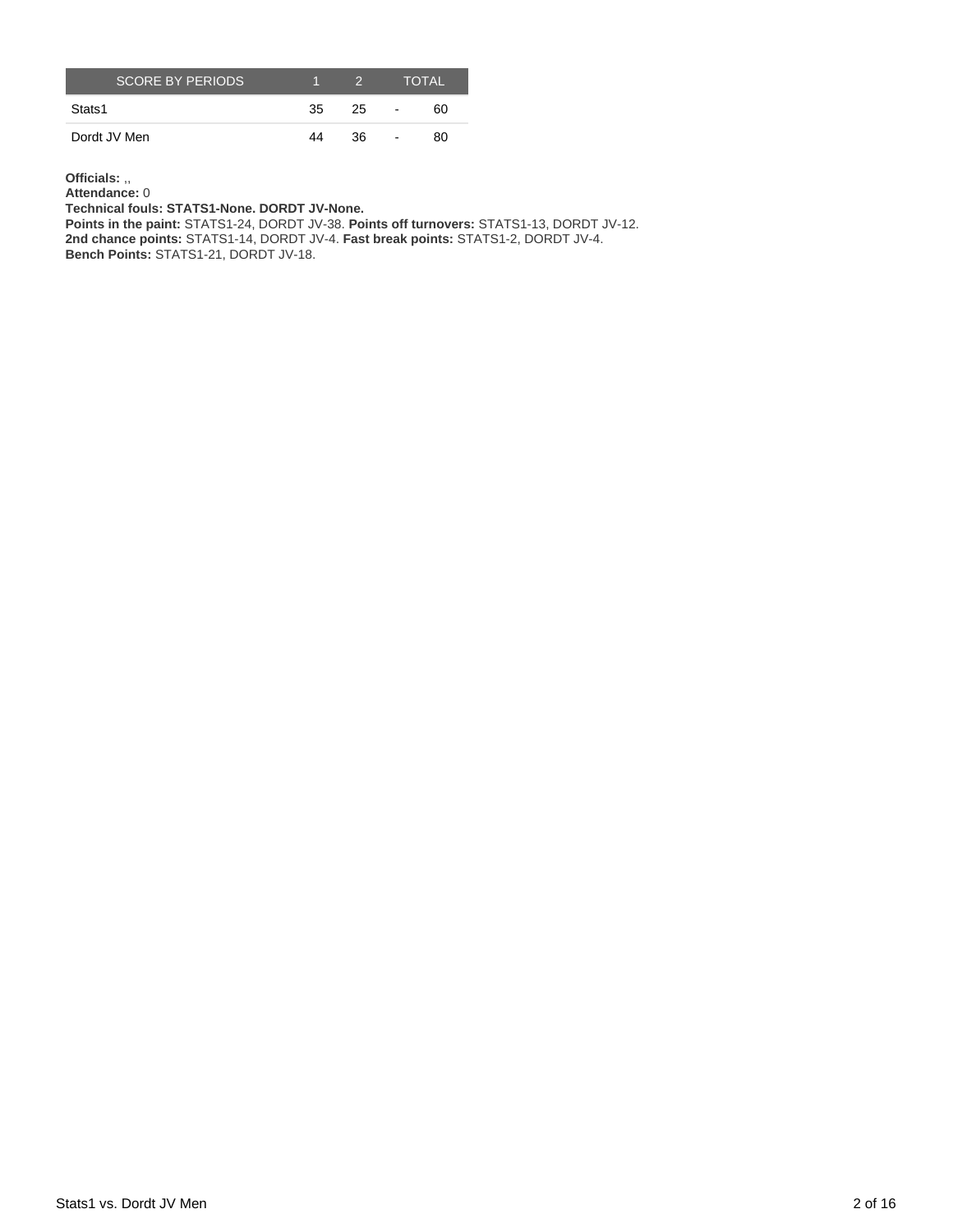| <b>SCORE BY PERIODS.</b> |     | $\mathcal{D}$ |                          | <b>TOTAL</b> |
|--------------------------|-----|---------------|--------------------------|--------------|
| Stats1                   | -35 | 25            | $\sim$                   | 60           |
| Dordt JV Men             | 44  | 36            | $\overline{\phantom{a}}$ | 80           |

**Officials:** ,,

**Attendance:** 0

**Technical fouls: STATS1-None. DORDT JV-None.**

**Points in the paint:** STATS1-24, DORDT JV-38. **Points off turnovers:** STATS1-13, DORDT JV-12.

**2nd chance points:** STATS1-14, DORDT JV-4. **Fast break points:** STATS1-2, DORDT JV-4.

**Bench Points:** STATS1-21, DORDT JV-18.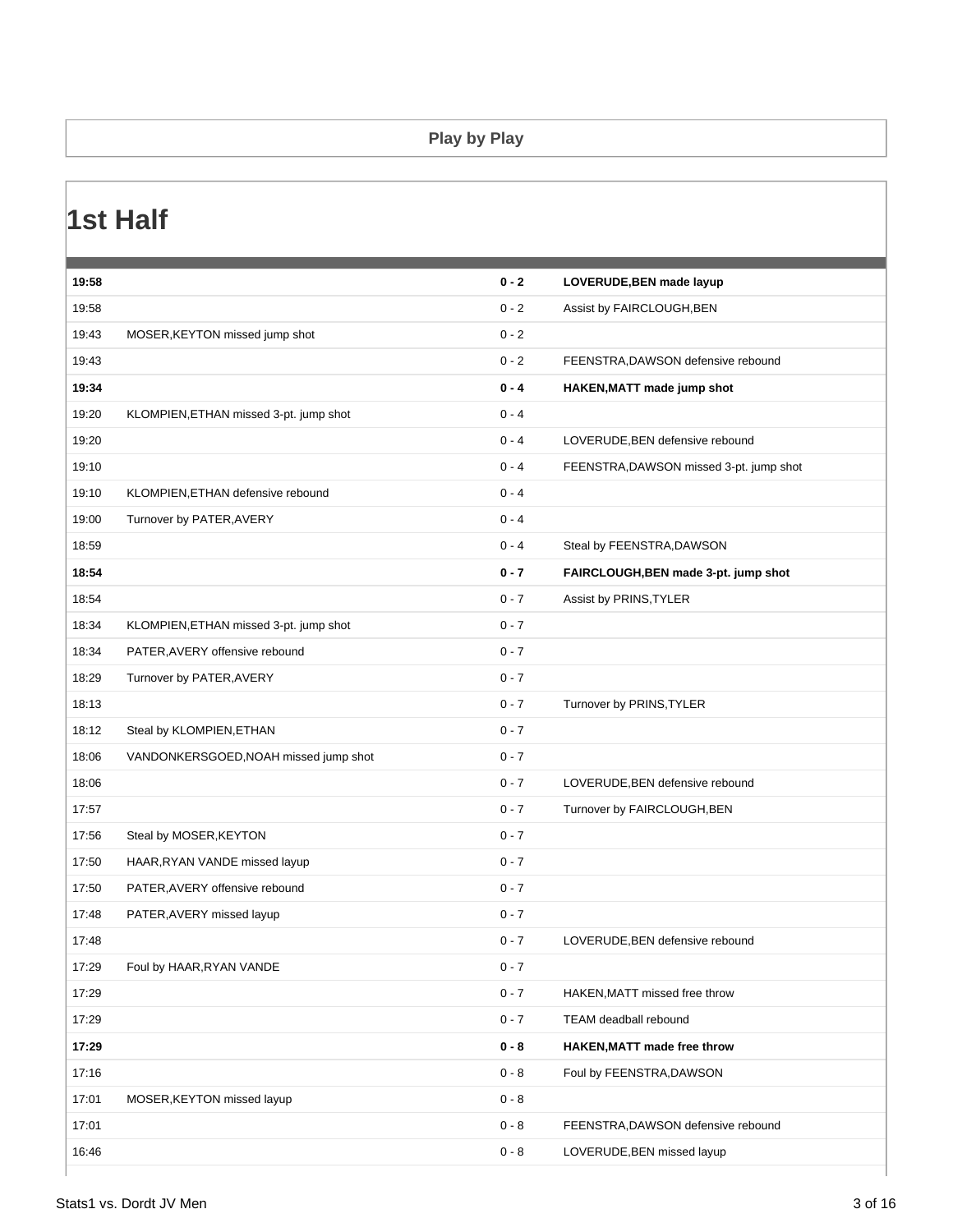#### **Play by Play**

## **1st Half**

| 19:58 |                                        | $0 - 2$ | LOVERUDE, BEN made layup                |
|-------|----------------------------------------|---------|-----------------------------------------|
| 19:58 |                                        | $0 - 2$ | Assist by FAIRCLOUGH, BEN               |
| 19:43 | MOSER, KEYTON missed jump shot         | $0 - 2$ |                                         |
| 19:43 |                                        | $0 - 2$ | FEENSTRA, DAWSON defensive rebound      |
| 19:34 |                                        | $0 - 4$ | HAKEN, MATT made jump shot              |
| 19:20 | KLOMPIEN, ETHAN missed 3-pt. jump shot | $0 - 4$ |                                         |
| 19:20 |                                        | $0 - 4$ | LOVERUDE, BEN defensive rebound         |
| 19:10 |                                        | $0 - 4$ | FEENSTRA, DAWSON missed 3-pt. jump shot |
| 19:10 | KLOMPIEN, ETHAN defensive rebound      | $0 - 4$ |                                         |
| 19:00 | Turnover by PATER, AVERY               | $0 - 4$ |                                         |
| 18:59 |                                        | $0 - 4$ | Steal by FEENSTRA, DAWSON               |
| 18:54 |                                        | $0 - 7$ | FAIRCLOUGH, BEN made 3-pt. jump shot    |
| 18:54 |                                        | $0 - 7$ | Assist by PRINS, TYLER                  |
| 18:34 | KLOMPIEN, ETHAN missed 3-pt. jump shot | $0 - 7$ |                                         |
| 18:34 | PATER, AVERY offensive rebound         | $0 - 7$ |                                         |
| 18:29 | Turnover by PATER, AVERY               | $0 - 7$ |                                         |
| 18:13 |                                        | $0 - 7$ | Turnover by PRINS, TYLER                |
| 18:12 | Steal by KLOMPIEN, ETHAN               | $0 - 7$ |                                         |
| 18:06 | VANDONKERSGOED, NOAH missed jump shot  | $0 - 7$ |                                         |
| 18:06 |                                        | $0 - 7$ | LOVERUDE, BEN defensive rebound         |
| 17:57 |                                        | $0 - 7$ | Turnover by FAIRCLOUGH, BEN             |
| 17:56 | Steal by MOSER, KEYTON                 | $0 - 7$ |                                         |
| 17:50 | HAAR, RYAN VANDE missed layup          | $0 - 7$ |                                         |
| 17:50 | PATER, AVERY offensive rebound         | $0 - 7$ |                                         |
| 17:48 | PATER, AVERY missed layup              | $0 - 7$ |                                         |
| 17:48 |                                        | $0 - 7$ | LOVERUDE, BEN defensive rebound         |
| 17:29 | Foul by HAAR, RYAN VANDE               | $0 - 7$ |                                         |
| 17:29 |                                        | $0 - 7$ | HAKEN, MATT missed free throw           |
| 17:29 |                                        | $0 - 7$ | TEAM deadball rebound                   |
| 17:29 |                                        | $0 - 8$ | HAKEN, MATT made free throw             |
| 17:16 |                                        | $0 - 8$ | Foul by FEENSTRA, DAWSON                |
| 17:01 | MOSER, KEYTON missed layup             | $0 - 8$ |                                         |
| 17:01 |                                        | $0 - 8$ | FEENSTRA, DAWSON defensive rebound      |
| 16:46 |                                        | $0 - 8$ | LOVERUDE, BEN missed layup              |
|       |                                        |         |                                         |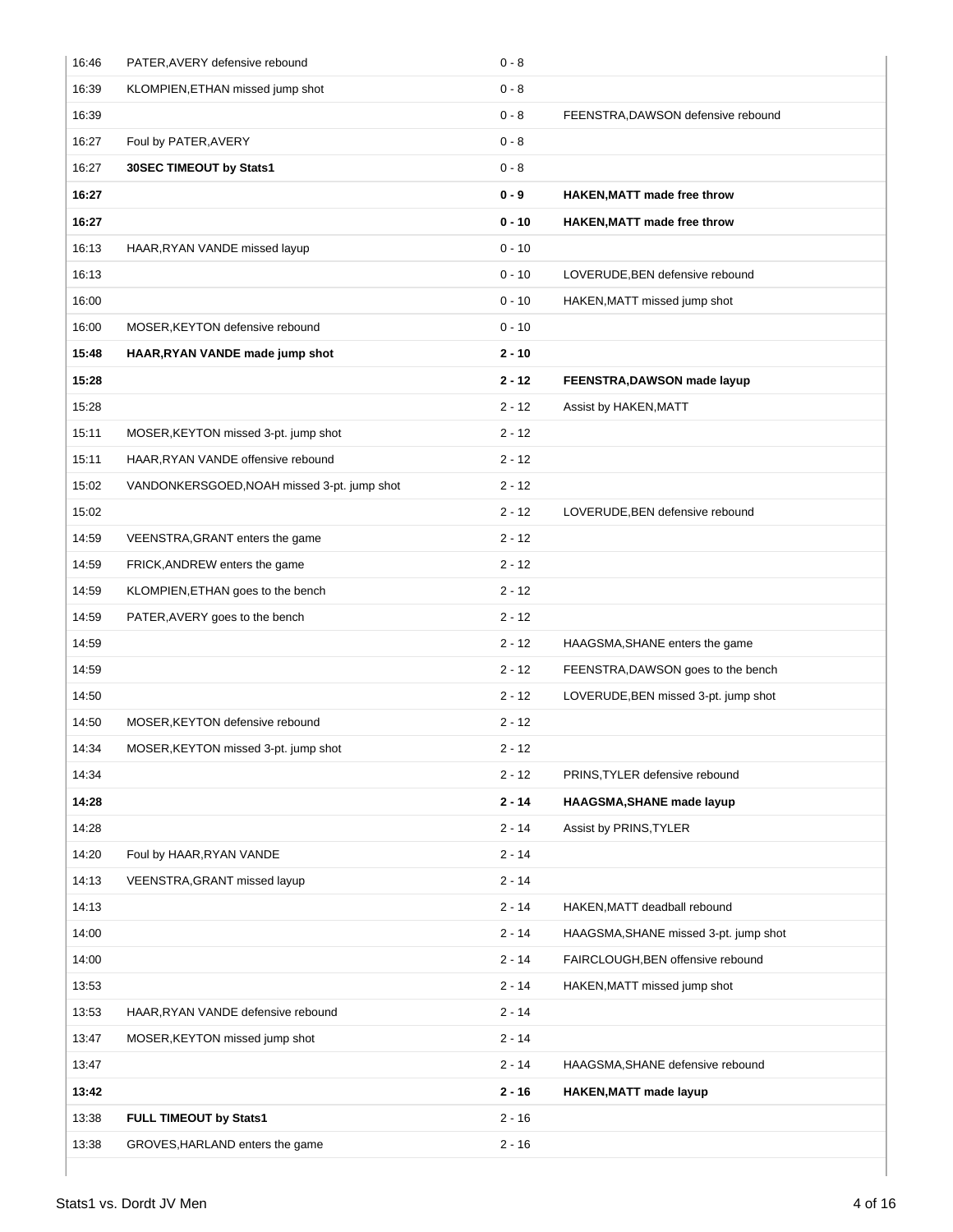| 16:46 | PATER, AVERY defensive rebound              | $0 - 8$  |                                       |
|-------|---------------------------------------------|----------|---------------------------------------|
| 16:39 | KLOMPIEN, ETHAN missed jump shot            | $0 - 8$  |                                       |
| 16:39 |                                             | $0 - 8$  | FEENSTRA, DAWSON defensive rebound    |
| 16:27 | Foul by PATER, AVERY                        | $0 - 8$  |                                       |
| 16:27 | 30SEC TIMEOUT by Stats1                     | $0 - 8$  |                                       |
| 16:27 |                                             | $0 - 9$  | <b>HAKEN, MATT made free throw</b>    |
| 16:27 |                                             | $0 - 10$ | <b>HAKEN, MATT made free throw</b>    |
| 16:13 | HAAR, RYAN VANDE missed layup               | $0 - 10$ |                                       |
| 16:13 |                                             | $0 - 10$ | LOVERUDE, BEN defensive rebound       |
| 16:00 |                                             | $0 - 10$ | HAKEN, MATT missed jump shot          |
| 16:00 | MOSER, KEYTON defensive rebound             | $0 - 10$ |                                       |
| 15:48 | HAAR, RYAN VANDE made jump shot             | $2 - 10$ |                                       |
| 15:28 |                                             | $2 - 12$ | FEENSTRA, DAWSON made layup           |
| 15:28 |                                             | $2 - 12$ | Assist by HAKEN, MATT                 |
| 15:11 | MOSER, KEYTON missed 3-pt. jump shot        | $2 - 12$ |                                       |
| 15:11 | HAAR, RYAN VANDE offensive rebound          | $2 - 12$ |                                       |
| 15:02 | VANDONKERSGOED, NOAH missed 3-pt. jump shot | $2 - 12$ |                                       |
| 15:02 |                                             | $2 - 12$ | LOVERUDE, BEN defensive rebound       |
| 14:59 | VEENSTRA, GRANT enters the game             | $2 - 12$ |                                       |
| 14:59 | FRICK, ANDREW enters the game               | $2 - 12$ |                                       |
| 14:59 | KLOMPIEN, ETHAN goes to the bench           | $2 - 12$ |                                       |
| 14:59 | PATER, AVERY goes to the bench              | $2 - 12$ |                                       |
| 14:59 |                                             | $2 - 12$ | HAAGSMA, SHANE enters the game        |
| 14:59 |                                             | $2 - 12$ | FEENSTRA, DAWSON goes to the bench    |
| 14:50 |                                             | $2 - 12$ | LOVERUDE, BEN missed 3-pt. jump shot  |
| 14:50 | MOSER, KEYTON defensive rebound             | $2 - 12$ |                                       |
| 14:34 | MOSER, KEYTON missed 3-pt. jump shot        | 2 - 12   |                                       |
| 14:34 |                                             | $2 - 12$ | PRINS, TYLER defensive rebound        |
| 14:28 |                                             | $2 - 14$ | <b>HAAGSMA, SHANE made layup</b>      |
| 14:28 |                                             | $2 - 14$ | Assist by PRINS, TYLER                |
| 14:20 | Foul by HAAR, RYAN VANDE                    | $2 - 14$ |                                       |
| 14:13 | VEENSTRA, GRANT missed layup                | $2 - 14$ |                                       |
| 14:13 |                                             | $2 - 14$ | HAKEN, MATT deadball rebound          |
| 14:00 |                                             | $2 - 14$ | HAAGSMA, SHANE missed 3-pt. jump shot |
| 14:00 |                                             | $2 - 14$ | FAIRCLOUGH, BEN offensive rebound     |
| 13:53 |                                             | $2 - 14$ | HAKEN, MATT missed jump shot          |
| 13:53 | HAAR, RYAN VANDE defensive rebound          | $2 - 14$ |                                       |
| 13:47 | MOSER, KEYTON missed jump shot              | $2 - 14$ |                                       |
| 13:47 |                                             | $2 - 14$ | HAAGSMA, SHANE defensive rebound      |
| 13:42 |                                             | $2 - 16$ | <b>HAKEN, MATT made layup</b>         |
| 13:38 | FULL TIMEOUT by Stats1                      | $2 - 16$ |                                       |
| 13:38 | GROVES, HARLAND enters the game             | $2 - 16$ |                                       |
|       |                                             |          |                                       |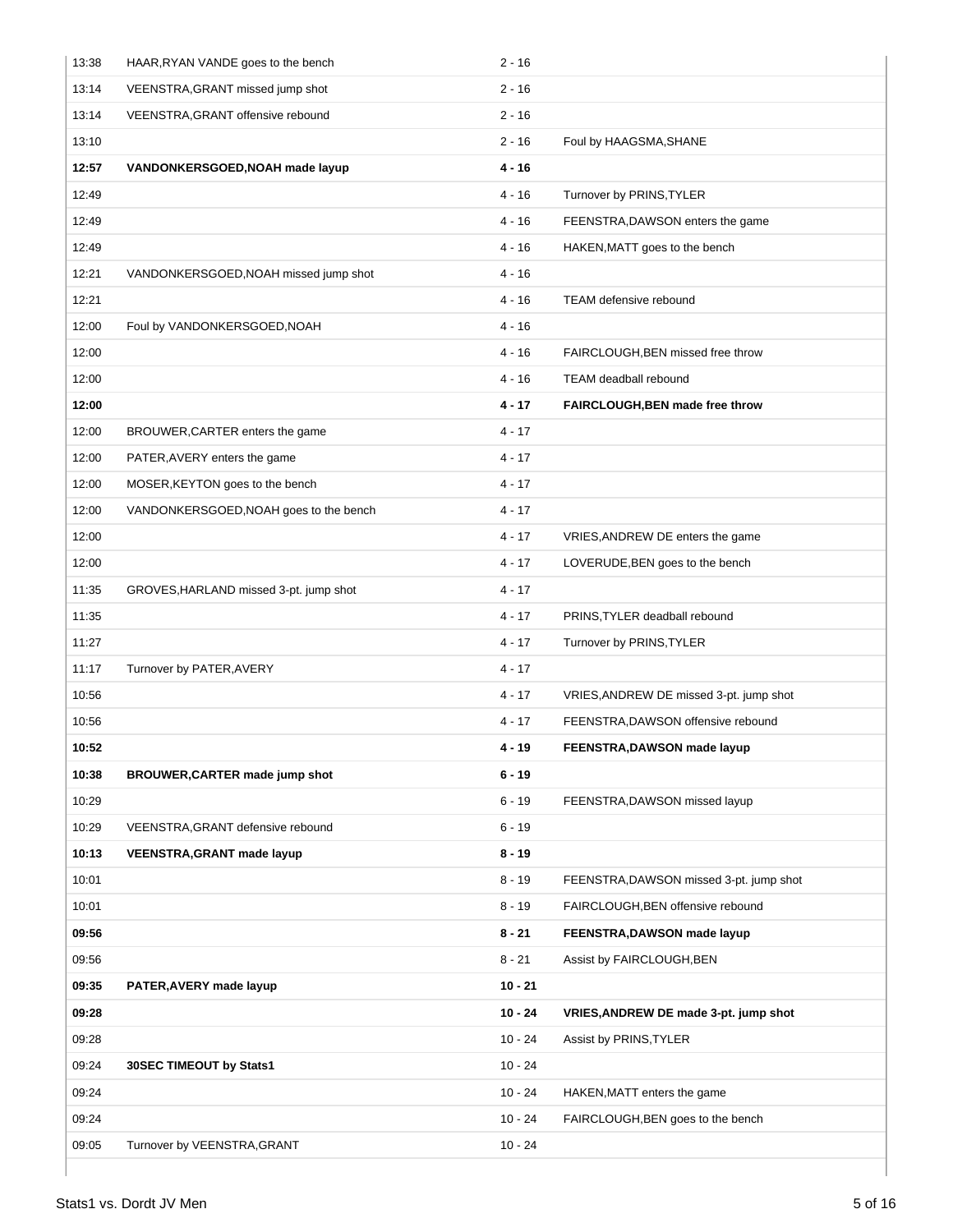| 13:38 | HAAR, RYAN VANDE goes to the bench     | $2 - 16$  |                                         |
|-------|----------------------------------------|-----------|-----------------------------------------|
| 13:14 | VEENSTRA, GRANT missed jump shot       | $2 - 16$  |                                         |
| 13:14 | VEENSTRA, GRANT offensive rebound      | $2 - 16$  |                                         |
| 13:10 |                                        | $2 - 16$  | Foul by HAAGSMA, SHANE                  |
| 12:57 | VANDONKERSGOED, NOAH made layup        | 4 - 16    |                                         |
| 12:49 |                                        | $4 - 16$  | Turnover by PRINS, TYLER                |
| 12:49 |                                        | $4 - 16$  | FEENSTRA, DAWSON enters the game        |
| 12:49 |                                        | $4 - 16$  | HAKEN, MATT goes to the bench           |
| 12:21 | VANDONKERSGOED, NOAH missed jump shot  | $4 - 16$  |                                         |
| 12:21 |                                        | $4 - 16$  | TEAM defensive rebound                  |
| 12:00 | Foul by VANDONKERSGOED, NOAH           | $4 - 16$  |                                         |
| 12:00 |                                        | $4 - 16$  | FAIRCLOUGH, BEN missed free throw       |
| 12:00 |                                        | $4 - 16$  | TEAM deadball rebound                   |
| 12:00 |                                        | 4 - 17    | FAIRCLOUGH, BEN made free throw         |
| 12:00 | BROUWER, CARTER enters the game        | $4 - 17$  |                                         |
| 12:00 | PATER, AVERY enters the game           | $4 - 17$  |                                         |
| 12:00 | MOSER, KEYTON goes to the bench        | $4 - 17$  |                                         |
| 12:00 | VANDONKERSGOED, NOAH goes to the bench | $4 - 17$  |                                         |
| 12:00 |                                        | $4 - 17$  | VRIES, ANDREW DE enters the game        |
| 12:00 |                                        | $4 - 17$  | LOVERUDE, BEN goes to the bench         |
| 11:35 | GROVES, HARLAND missed 3-pt. jump shot | $4 - 17$  |                                         |
| 11:35 |                                        | $4 - 17$  | PRINS, TYLER deadball rebound           |
| 11:27 |                                        | $4 - 17$  | Turnover by PRINS, TYLER                |
| 11:17 | Turnover by PATER, AVERY               | $4 - 17$  |                                         |
| 10:56 |                                        | $4 - 17$  | VRIES, ANDREW DE missed 3-pt. jump shot |
| 10:56 |                                        | $4 - 17$  | FEENSTRA, DAWSON offensive rebound      |
| 10:52 |                                        | 4 - 19    | FEENSTRA, DAWSON made layup             |
| 10:38 | <b>BROUWER, CARTER made jump shot</b>  | $6 - 19$  |                                         |
| 10:29 |                                        | $6 - 19$  | FEENSTRA, DAWSON missed layup           |
| 10:29 | VEENSTRA, GRANT defensive rebound      | $6 - 19$  |                                         |
| 10:13 | <b>VEENSTRA, GRANT made layup</b>      | $8 - 19$  |                                         |
| 10:01 |                                        | $8 - 19$  | FEENSTRA, DAWSON missed 3-pt. jump shot |
| 10:01 |                                        | $8 - 19$  | FAIRCLOUGH, BEN offensive rebound       |
| 09:56 |                                        | $8 - 21$  | FEENSTRA, DAWSON made layup             |
| 09:56 |                                        | $8 - 21$  | Assist by FAIRCLOUGH, BEN               |
| 09:35 | PATER, AVERY made layup                | $10 - 21$ |                                         |
| 09:28 |                                        | $10 - 24$ | VRIES, ANDREW DE made 3-pt. jump shot   |
| 09:28 |                                        | $10 - 24$ | Assist by PRINS, TYLER                  |
| 09:24 | 30SEC TIMEOUT by Stats1                | $10 - 24$ |                                         |
| 09:24 |                                        | $10 - 24$ | HAKEN, MATT enters the game             |
| 09:24 |                                        | $10 - 24$ | FAIRCLOUGH, BEN goes to the bench       |
| 09:05 | Turnover by VEENSTRA, GRANT            | $10 - 24$ |                                         |
|       |                                        |           |                                         |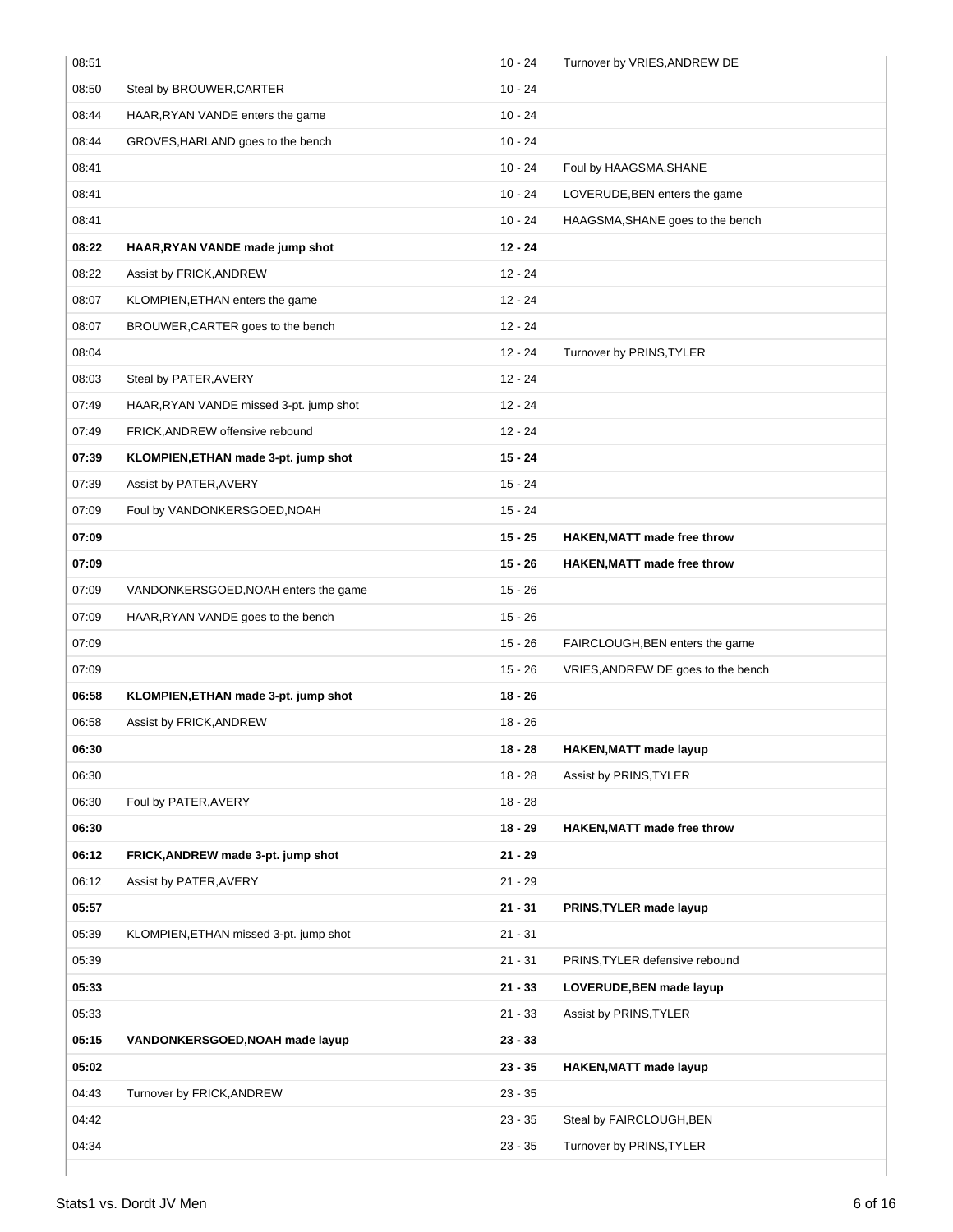| 08:51 |                                         | $10 - 24$ | Turnover by VRIES, ANDREW DE       |
|-------|-----------------------------------------|-----------|------------------------------------|
| 08:50 | Steal by BROUWER, CARTER                | $10 - 24$ |                                    |
| 08:44 | HAAR, RYAN VANDE enters the game        | $10 - 24$ |                                    |
| 08:44 | GROVES, HARLAND goes to the bench       | $10 - 24$ |                                    |
| 08:41 |                                         | 10 - 24   | Foul by HAAGSMA, SHANE             |
| 08:41 |                                         | $10 - 24$ | LOVERUDE, BEN enters the game      |
| 08:41 |                                         | $10 - 24$ | HAAGSMA, SHANE goes to the bench   |
| 08:22 | HAAR, RYAN VANDE made jump shot         | $12 - 24$ |                                    |
| 08:22 | Assist by FRICK, ANDREW                 | $12 - 24$ |                                    |
| 08:07 | KLOMPIEN, ETHAN enters the game         | $12 - 24$ |                                    |
| 08:07 | BROUWER, CARTER goes to the bench       | $12 - 24$ |                                    |
| 08:04 |                                         | $12 - 24$ | Turnover by PRINS, TYLER           |
| 08:03 | Steal by PATER, AVERY                   | $12 - 24$ |                                    |
| 07:49 | HAAR, RYAN VANDE missed 3-pt. jump shot | $12 - 24$ |                                    |
| 07:49 | FRICK, ANDREW offensive rebound         | $12 - 24$ |                                    |
| 07:39 | KLOMPIEN, ETHAN made 3-pt. jump shot    | $15 - 24$ |                                    |
| 07:39 | Assist by PATER, AVERY                  | $15 - 24$ |                                    |
| 07:09 | Foul by VANDONKERSGOED, NOAH            | $15 - 24$ |                                    |
| 07:09 |                                         | $15 - 25$ | <b>HAKEN, MATT made free throw</b> |
| 07:09 |                                         | $15 - 26$ | <b>HAKEN, MATT made free throw</b> |
| 07:09 | VANDONKERSGOED, NOAH enters the game    | $15 - 26$ |                                    |
| 07:09 | HAAR, RYAN VANDE goes to the bench      | $15 - 26$ |                                    |
| 07:09 |                                         | $15 - 26$ | FAIRCLOUGH, BEN enters the game    |
| 07:09 |                                         | $15 - 26$ | VRIES, ANDREW DE goes to the bench |
| 06:58 | KLOMPIEN, ETHAN made 3-pt. jump shot    | $18 - 26$ |                                    |
| 06:58 | Assist by FRICK, ANDREW                 | $18 - 26$ |                                    |
| 06:30 |                                         | $18 - 28$ | HAKEN, MATT made layup             |
| 06:30 |                                         | 18 - 28   | Assist by PRINS, TYLER             |
| 06:30 | Foul by PATER, AVERY                    | $18 - 28$ |                                    |
| 06:30 |                                         | $18 - 29$ | <b>HAKEN, MATT made free throw</b> |
| 06:12 | FRICK, ANDREW made 3-pt. jump shot      | $21 - 29$ |                                    |
| 06:12 | Assist by PATER, AVERY                  | $21 - 29$ |                                    |
| 05:57 |                                         | $21 - 31$ | PRINS, TYLER made layup            |
| 05:39 | KLOMPIEN, ETHAN missed 3-pt. jump shot  | $21 - 31$ |                                    |
| 05:39 |                                         | $21 - 31$ | PRINS, TYLER defensive rebound     |
| 05:33 |                                         | $21 - 33$ | LOVERUDE, BEN made layup           |
| 05:33 |                                         | $21 - 33$ | Assist by PRINS, TYLER             |
| 05:15 | VANDONKERSGOED, NOAH made layup         | $23 - 33$ |                                    |
| 05:02 |                                         | $23 - 35$ | <b>HAKEN, MATT made layup</b>      |
| 04:43 | Turnover by FRICK, ANDREW               | $23 - 35$ |                                    |
| 04:42 |                                         | $23 - 35$ | Steal by FAIRCLOUGH, BEN           |
| 04:34 |                                         | $23 - 35$ | Turnover by PRINS, TYLER           |
|       |                                         |           |                                    |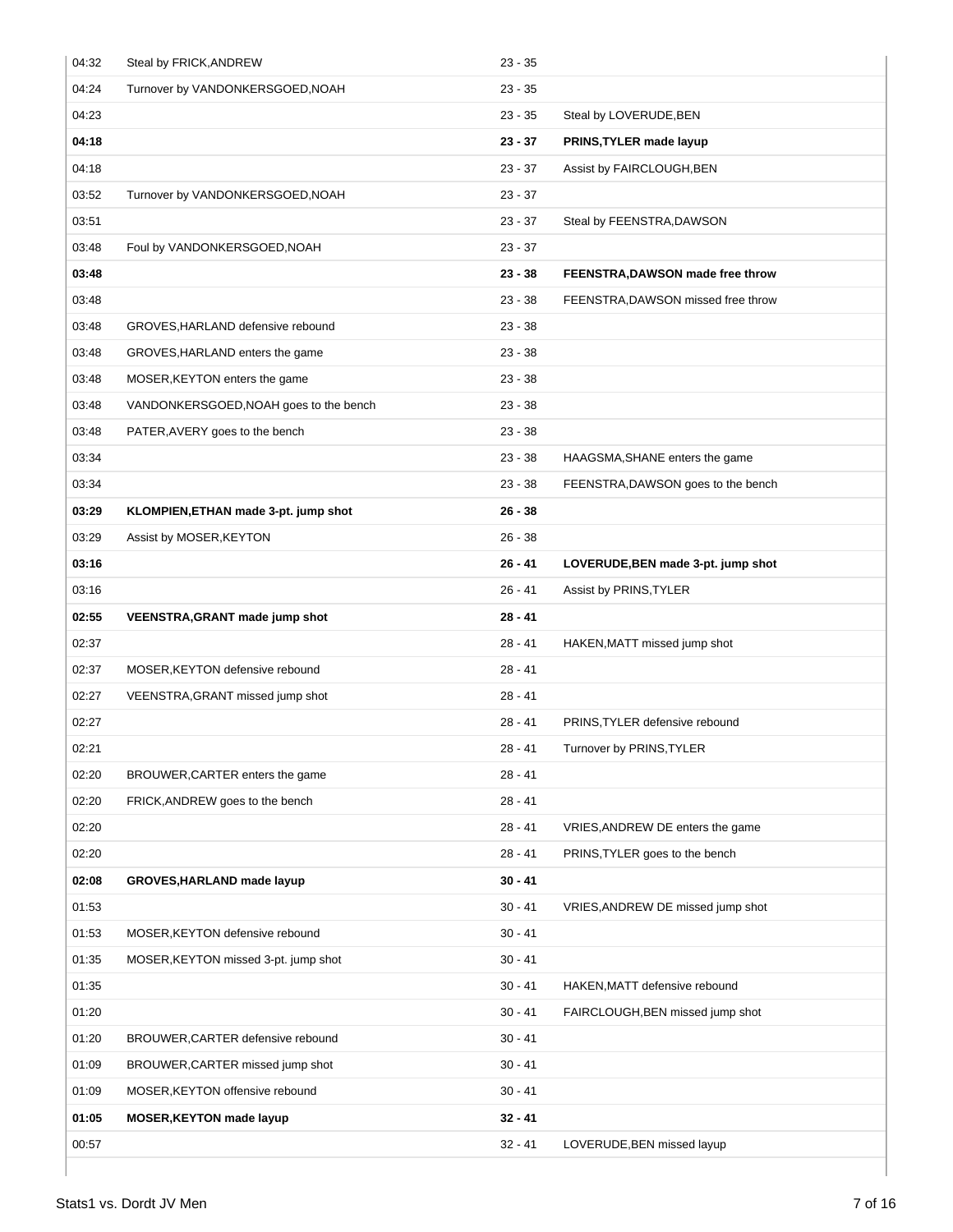| 04:32 | Steal by FRICK, ANDREW                 | $23 - 35$ |                                    |
|-------|----------------------------------------|-----------|------------------------------------|
| 04:24 | Turnover by VANDONKERSGOED, NOAH       | $23 - 35$ |                                    |
| 04:23 |                                        | $23 - 35$ | Steal by LOVERUDE, BEN             |
| 04:18 |                                        | $23 - 37$ | PRINS, TYLER made layup            |
| 04:18 |                                        | $23 - 37$ | Assist by FAIRCLOUGH, BEN          |
| 03:52 | Turnover by VANDONKERSGOED, NOAH       | $23 - 37$ |                                    |
| 03:51 |                                        | $23 - 37$ | Steal by FEENSTRA, DAWSON          |
| 03:48 | Foul by VANDONKERSGOED, NOAH           | $23 - 37$ |                                    |
| 03:48 |                                        | $23 - 38$ | FEENSTRA, DAWSON made free throw   |
| 03:48 |                                        | $23 - 38$ | FEENSTRA, DAWSON missed free throw |
| 03:48 | GROVES, HARLAND defensive rebound      | $23 - 38$ |                                    |
| 03:48 | GROVES, HARLAND enters the game        | $23 - 38$ |                                    |
| 03:48 | MOSER, KEYTON enters the game          | $23 - 38$ |                                    |
| 03:48 | VANDONKERSGOED, NOAH goes to the bench | $23 - 38$ |                                    |
| 03:48 | PATER, AVERY goes to the bench         | $23 - 38$ |                                    |
| 03:34 |                                        | $23 - 38$ | HAAGSMA, SHANE enters the game     |
| 03:34 |                                        | $23 - 38$ | FEENSTRA, DAWSON goes to the bench |
| 03:29 | KLOMPIEN, ETHAN made 3-pt. jump shot   | $26 - 38$ |                                    |
| 03:29 | Assist by MOSER, KEYTON                | $26 - 38$ |                                    |
| 03:16 |                                        | $26 - 41$ | LOVERUDE, BEN made 3-pt. jump shot |
| 03:16 |                                        | $26 - 41$ | Assist by PRINS, TYLER             |
| 02:55 | VEENSTRA, GRANT made jump shot         |           |                                    |
|       |                                        | $28 - 41$ |                                    |
| 02:37 |                                        | $28 - 41$ | HAKEN, MATT missed jump shot       |
| 02:37 | MOSER, KEYTON defensive rebound        | $28 - 41$ |                                    |
| 02:27 | VEENSTRA, GRANT missed jump shot       | $28 - 41$ |                                    |
| 02:27 |                                        | $28 - 41$ | PRINS, TYLER defensive rebound     |
| 02:21 |                                        | 28 - 41   | Turnover by PRINS, TYLER           |
| 02:20 | BROUWER, CARTER enters the game        | 28 - 41   |                                    |
| 02:20 | FRICK, ANDREW goes to the bench        | $28 - 41$ |                                    |
| 02:20 |                                        | $28 - 41$ | VRIES, ANDREW DE enters the game   |
| 02:20 |                                        | $28 - 41$ | PRINS, TYLER goes to the bench     |
| 02:08 | GROVES, HARLAND made layup             | $30 - 41$ |                                    |
| 01:53 |                                        | $30 - 41$ | VRIES, ANDREW DE missed jump shot  |
| 01:53 | MOSER, KEYTON defensive rebound        | $30 - 41$ |                                    |
| 01:35 | MOSER, KEYTON missed 3-pt. jump shot   | $30 - 41$ |                                    |
| 01:35 |                                        | $30 - 41$ | HAKEN, MATT defensive rebound      |
| 01:20 |                                        | $30 - 41$ | FAIRCLOUGH, BEN missed jump shot   |
| 01:20 | BROUWER, CARTER defensive rebound      | $30 - 41$ |                                    |
| 01:09 | BROUWER, CARTER missed jump shot       | $30 - 41$ |                                    |
| 01:09 | MOSER, KEYTON offensive rebound        | $30 - 41$ |                                    |
| 01:05 | <b>MOSER, KEYTON made layup</b>        | $32 - 41$ |                                    |
| 00:57 |                                        | $32 - 41$ | LOVERUDE, BEN missed layup         |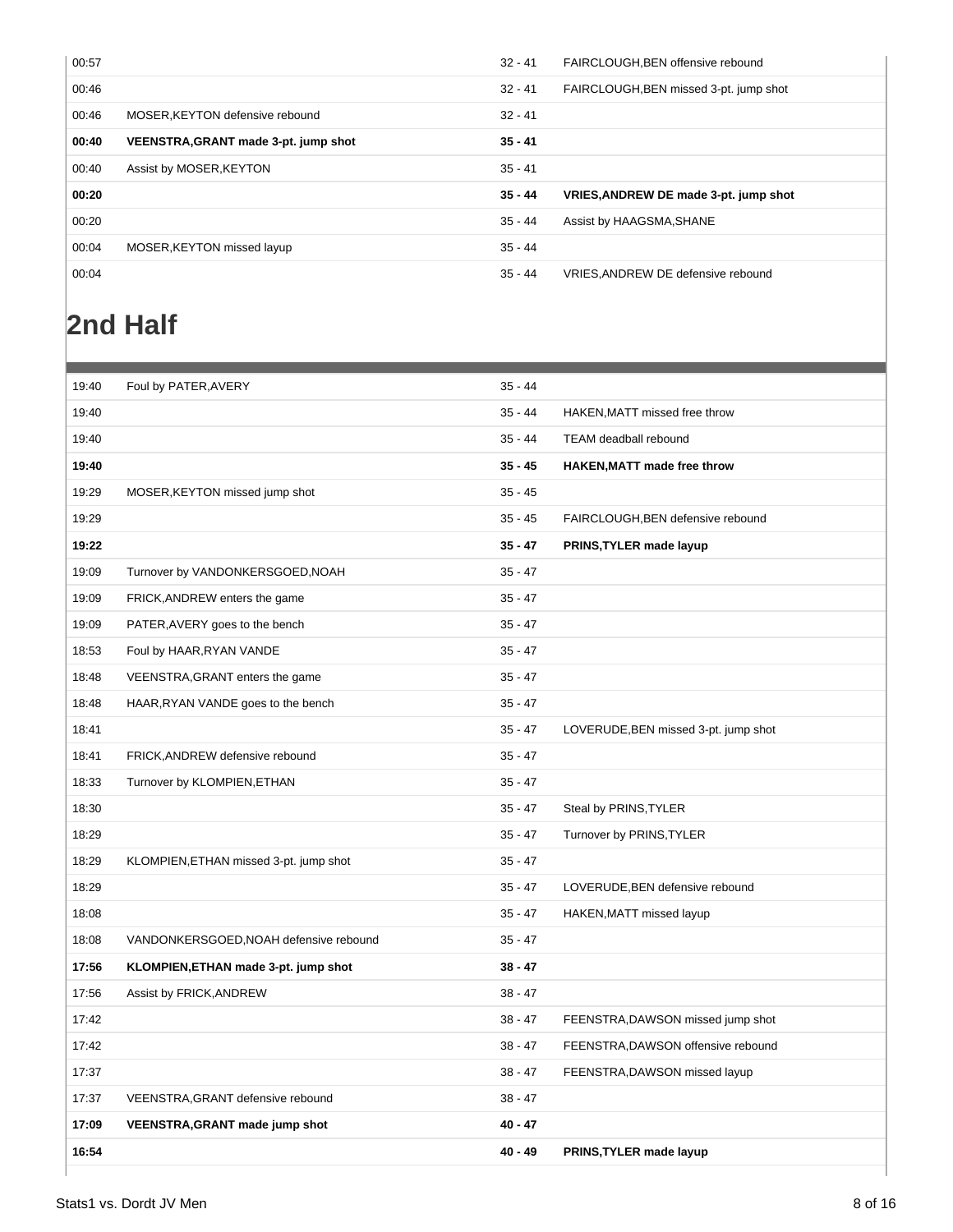| 00:57 |                                      | $32 - 41$ | FAIRCLOUGH, BEN offensive rebound      |
|-------|--------------------------------------|-----------|----------------------------------------|
| 00:46 |                                      | $32 - 41$ | FAIRCLOUGH, BEN missed 3-pt. jump shot |
| 00:46 | MOSER, KEYTON defensive rebound      | $32 - 41$ |                                        |
| 00:40 | VEENSTRA, GRANT made 3-pt. jump shot | $35 - 41$ |                                        |
| 00:40 | Assist by MOSER, KEYTON              | $35 - 41$ |                                        |
| 00:20 |                                      | $35 - 44$ | VRIES, ANDREW DE made 3-pt. jump shot  |
| 00:20 |                                      | 35 - 44   | Assist by HAAGSMA, SHANE               |
| 00:04 | MOSER, KEYTON missed layup           | 35 - 44   |                                        |
| 00:04 |                                      | 35 - 44   | VRIES, ANDREW DE defensive rebound     |

# **2nd Half**

| 19:40 | Foul by PATER, AVERY                   | $35 - 44$ |                                      |
|-------|----------------------------------------|-----------|--------------------------------------|
| 19:40 |                                        | $35 - 44$ | HAKEN, MATT missed free throw        |
| 19:40 |                                        | $35 - 44$ | TEAM deadball rebound                |
| 19:40 |                                        | $35 - 45$ | HAKEN, MATT made free throw          |
| 19:29 | MOSER, KEYTON missed jump shot         | $35 - 45$ |                                      |
| 19:29 |                                        | $35 - 45$ | FAIRCLOUGH, BEN defensive rebound    |
| 19:22 |                                        | $35 - 47$ | PRINS, TYLER made layup              |
| 19:09 | Turnover by VANDONKERSGOED, NOAH       | $35 - 47$ |                                      |
| 19:09 | FRICK, ANDREW enters the game          | $35 - 47$ |                                      |
| 19:09 | PATER, AVERY goes to the bench         | $35 - 47$ |                                      |
| 18:53 | Foul by HAAR, RYAN VANDE               | $35 - 47$ |                                      |
| 18:48 | VEENSTRA, GRANT enters the game        | $35 - 47$ |                                      |
| 18:48 | HAAR, RYAN VANDE goes to the bench     | $35 - 47$ |                                      |
| 18:41 |                                        | $35 - 47$ | LOVERUDE, BEN missed 3-pt. jump shot |
| 18:41 | FRICK, ANDREW defensive rebound        | $35 - 47$ |                                      |
| 18:33 | Turnover by KLOMPIEN, ETHAN            | $35 - 47$ |                                      |
| 18:30 |                                        | $35 - 47$ | Steal by PRINS, TYLER                |
| 18:29 |                                        | $35 - 47$ | Turnover by PRINS, TYLER             |
| 18:29 | KLOMPIEN, ETHAN missed 3-pt. jump shot | $35 - 47$ |                                      |
| 18:29 |                                        | $35 - 47$ | LOVERUDE, BEN defensive rebound      |
| 18:08 |                                        | $35 - 47$ | HAKEN, MATT missed layup             |
| 18:08 | VANDONKERSGOED, NOAH defensive rebound | $35 - 47$ |                                      |
| 17:56 | KLOMPIEN, ETHAN made 3-pt. jump shot   | $38 - 47$ |                                      |
| 17:56 | Assist by FRICK, ANDREW                | $38 - 47$ |                                      |
| 17:42 |                                        | $38 - 47$ | FEENSTRA, DAWSON missed jump shot    |
| 17:42 |                                        | $38 - 47$ | FEENSTRA, DAWSON offensive rebound   |
| 17:37 |                                        | $38 - 47$ | FEENSTRA, DAWSON missed layup        |
| 17:37 | VEENSTRA, GRANT defensive rebound      | $38 - 47$ |                                      |
| 17:09 | <b>VEENSTRA, GRANT made jump shot</b>  | $40 - 47$ |                                      |
| 16:54 |                                        | $40 - 49$ | PRINS, TYLER made layup              |
|       |                                        |           |                                      |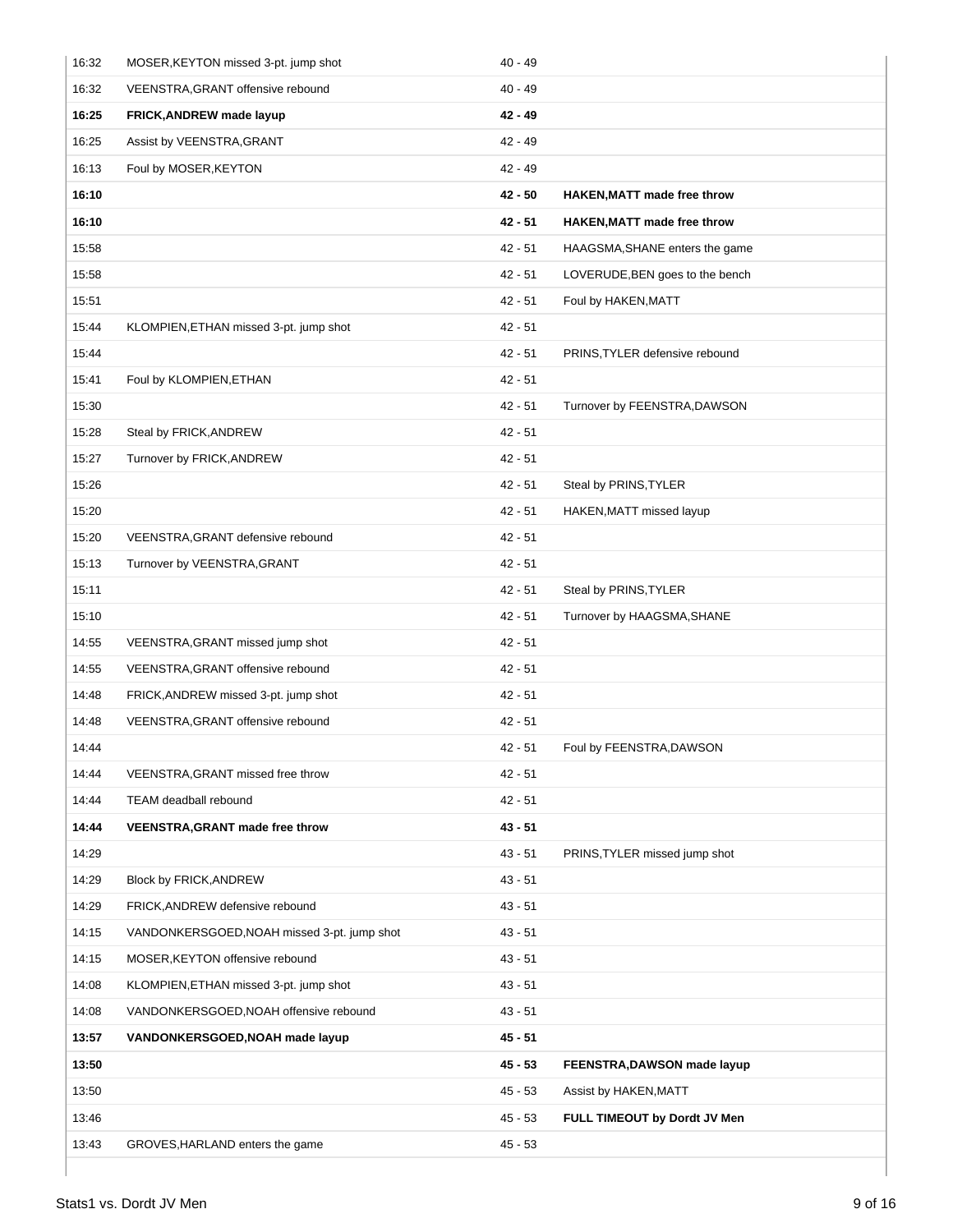| 16:32 | MOSER, KEYTON missed 3-pt. jump shot        | $40 - 49$ |                                    |
|-------|---------------------------------------------|-----------|------------------------------------|
| 16:32 | VEENSTRA, GRANT offensive rebound           | $40 - 49$ |                                    |
| 16:25 | FRICK, ANDREW made layup                    | $42 - 49$ |                                    |
| 16:25 | Assist by VEENSTRA, GRANT                   | $42 - 49$ |                                    |
| 16:13 | Foul by MOSER, KEYTON                       | $42 - 49$ |                                    |
| 16:10 |                                             | $42 - 50$ | <b>HAKEN, MATT made free throw</b> |
| 16:10 |                                             | $42 - 51$ | <b>HAKEN, MATT made free throw</b> |
| 15:58 |                                             | $42 - 51$ | HAAGSMA, SHANE enters the game     |
| 15:58 |                                             | $42 - 51$ | LOVERUDE, BEN goes to the bench    |
| 15:51 |                                             | $42 - 51$ | Foul by HAKEN, MATT                |
| 15:44 | KLOMPIEN, ETHAN missed 3-pt. jump shot      | $42 - 51$ |                                    |
| 15:44 |                                             | $42 - 51$ | PRINS, TYLER defensive rebound     |
| 15:41 | Foul by KLOMPIEN, ETHAN                     | $42 - 51$ |                                    |
| 15:30 |                                             | $42 - 51$ | Turnover by FEENSTRA, DAWSON       |
| 15:28 | Steal by FRICK, ANDREW                      | $42 - 51$ |                                    |
| 15:27 | Turnover by FRICK, ANDREW                   | $42 - 51$ |                                    |
| 15:26 |                                             | $42 - 51$ | Steal by PRINS, TYLER              |
| 15:20 |                                             | $42 - 51$ | HAKEN, MATT missed layup           |
| 15:20 | VEENSTRA, GRANT defensive rebound           | $42 - 51$ |                                    |
| 15:13 | Turnover by VEENSTRA, GRANT                 | $42 - 51$ |                                    |
| 15:11 |                                             | $42 - 51$ | Steal by PRINS, TYLER              |
| 15:10 |                                             | $42 - 51$ | Turnover by HAAGSMA, SHANE         |
| 14:55 | VEENSTRA, GRANT missed jump shot            | $42 - 51$ |                                    |
| 14:55 | VEENSTRA, GRANT offensive rebound           | $42 - 51$ |                                    |
| 14:48 | FRICK, ANDREW missed 3-pt. jump shot        | $42 - 51$ |                                    |
| 14:48 | VEENSTRA, GRANT offensive rebound           | $42 - 51$ |                                    |
| 14:44 |                                             | $42 - 51$ | Foul by FEENSTRA, DAWSON           |
| 14:44 | VEENSTRA, GRANT missed free throw           | $42 - 51$ |                                    |
| 14:44 | TEAM deadball rebound                       | $42 - 51$ |                                    |
| 14:44 | VEENSTRA, GRANT made free throw             | $43 - 51$ |                                    |
| 14:29 |                                             | $43 - 51$ | PRINS, TYLER missed jump shot      |
| 14:29 | Block by FRICK, ANDREW                      | $43 - 51$ |                                    |
| 14:29 | FRICK, ANDREW defensive rebound             | $43 - 51$ |                                    |
| 14:15 | VANDONKERSGOED, NOAH missed 3-pt. jump shot | $43 - 51$ |                                    |
| 14:15 | MOSER, KEYTON offensive rebound             | $43 - 51$ |                                    |
| 14:08 | KLOMPIEN, ETHAN missed 3-pt. jump shot      | $43 - 51$ |                                    |
| 14:08 | VANDONKERSGOED, NOAH offensive rebound      | $43 - 51$ |                                    |
| 13:57 | VANDONKERSGOED, NOAH made layup             | $45 - 51$ |                                    |
| 13:50 |                                             | $45 - 53$ | FEENSTRA, DAWSON made layup        |
| 13:50 |                                             | $45 - 53$ | Assist by HAKEN, MATT              |
| 13:46 |                                             | $45 - 53$ | FULL TIMEOUT by Dordt JV Men       |
| 13:43 | GROVES, HARLAND enters the game             | $45 - 53$ |                                    |
|       |                                             |           |                                    |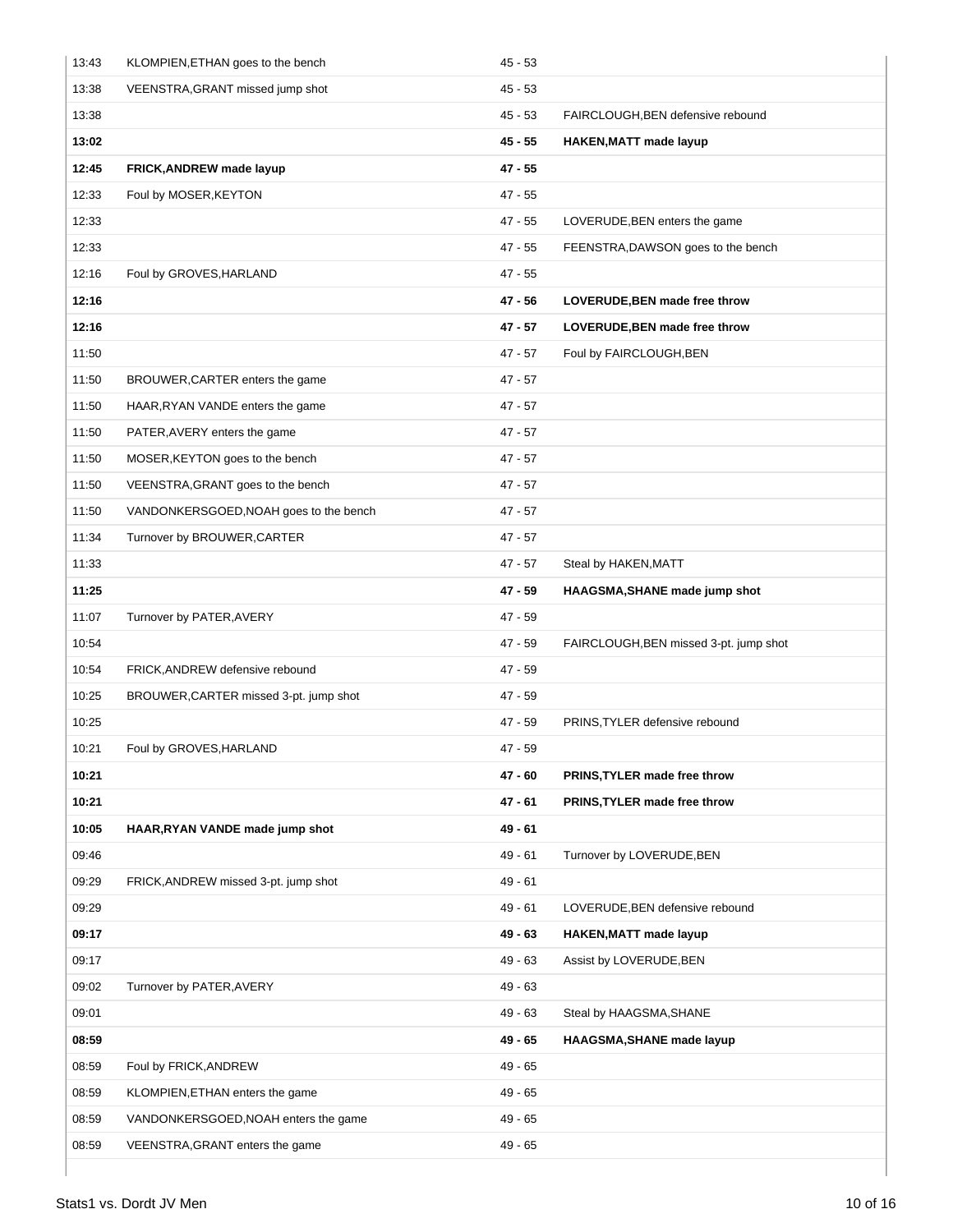| 13:43 | KLOMPIEN, ETHAN goes to the bench      | $45 - 53$ |                                        |
|-------|----------------------------------------|-----------|----------------------------------------|
| 13:38 | VEENSTRA, GRANT missed jump shot       | $45 - 53$ |                                        |
| 13:38 |                                        | $45 - 53$ | FAIRCLOUGH, BEN defensive rebound      |
| 13:02 |                                        | $45 - 55$ | <b>HAKEN, MATT made layup</b>          |
| 12:45 | FRICK, ANDREW made layup               | $47 - 55$ |                                        |
| 12:33 | Foul by MOSER, KEYTON                  | $47 - 55$ |                                        |
| 12:33 |                                        | 47 - 55   | LOVERUDE, BEN enters the game          |
| 12:33 |                                        | $47 - 55$ | FEENSTRA, DAWSON goes to the bench     |
| 12:16 | Foul by GROVES, HARLAND                | $47 - 55$ |                                        |
| 12:16 |                                        | 47 - 56   | LOVERUDE, BEN made free throw          |
| 12:16 |                                        | $47 - 57$ | LOVERUDE, BEN made free throw          |
| 11:50 |                                        | $47 - 57$ | Foul by FAIRCLOUGH, BEN                |
| 11:50 | BROUWER, CARTER enters the game        | $47 - 57$ |                                        |
| 11:50 | HAAR, RYAN VANDE enters the game       | $47 - 57$ |                                        |
| 11:50 | PATER, AVERY enters the game           | $47 - 57$ |                                        |
| 11:50 | MOSER, KEYTON goes to the bench        | 47 - 57   |                                        |
| 11:50 | VEENSTRA, GRANT goes to the bench      | $47 - 57$ |                                        |
| 11:50 | VANDONKERSGOED, NOAH goes to the bench | $47 - 57$ |                                        |
| 11:34 | Turnover by BROUWER, CARTER            | $47 - 57$ |                                        |
| 11:33 |                                        | $47 - 57$ | Steal by HAKEN, MATT                   |
| 11:25 |                                        | 47 - 59   | HAAGSMA, SHANE made jump shot          |
| 11:07 | Turnover by PATER, AVERY               | $47 - 59$ |                                        |
| 10:54 |                                        | $47 - 59$ | FAIRCLOUGH, BEN missed 3-pt. jump shot |
| 10:54 | FRICK, ANDREW defensive rebound        | $47 - 59$ |                                        |
| 10:25 | BROUWER, CARTER missed 3-pt. jump shot | $47 - 59$ |                                        |
| 10:25 |                                        | $47 - 59$ | PRINS, TYLER defensive rebound         |
| 10:21 | Foul by GROVES, HARLAND                | $47 - 59$ |                                        |
| 10:21 |                                        | 47 - 60   | PRINS, TYLER made free throw           |
| 10:21 |                                        | 47 - 61   | PRINS, TYLER made free throw           |
| 10:05 | HAAR, RYAN VANDE made jump shot        | $49 - 61$ |                                        |
| 09:46 |                                        | $49 - 61$ | Turnover by LOVERUDE, BEN              |
| 09:29 | FRICK, ANDREW missed 3-pt. jump shot   | $49 - 61$ |                                        |
| 09:29 |                                        | $49 - 61$ | LOVERUDE, BEN defensive rebound        |
| 09:17 |                                        | 49 - 63   | HAKEN, MATT made layup                 |
| 09:17 |                                        | $49 - 63$ | Assist by LOVERUDE, BEN                |
| 09:02 | Turnover by PATER, AVERY               | $49 - 63$ |                                        |
| 09:01 |                                        | $49 - 63$ | Steal by HAAGSMA, SHANE                |
| 08:59 |                                        | $49 - 65$ | HAAGSMA, SHANE made layup              |
| 08:59 | Foul by FRICK, ANDREW                  | 49 - 65   |                                        |
| 08:59 | KLOMPIEN, ETHAN enters the game        | $49 - 65$ |                                        |
| 08:59 | VANDONKERSGOED, NOAH enters the game   | 49 - 65   |                                        |
| 08:59 | VEENSTRA, GRANT enters the game        | 49 - 65   |                                        |
|       |                                        |           |                                        |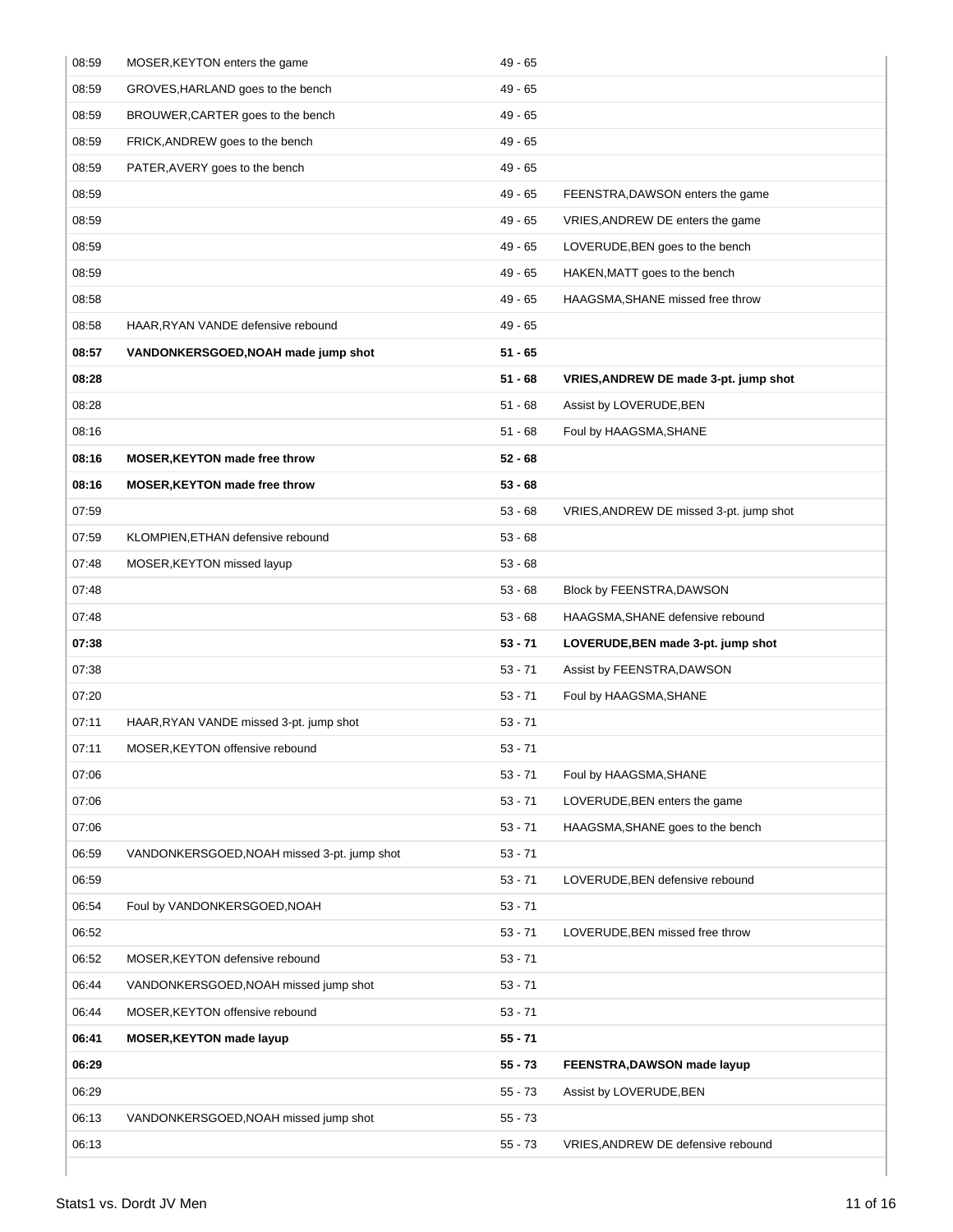| 08:59 | MOSER, KEYTON enters the game               | $49 - 65$ |                                         |
|-------|---------------------------------------------|-----------|-----------------------------------------|
| 08:59 | GROVES, HARLAND goes to the bench           | $49 - 65$ |                                         |
| 08:59 | BROUWER, CARTER goes to the bench           | 49 - 65   |                                         |
| 08:59 | FRICK, ANDREW goes to the bench             | 49 - 65   |                                         |
| 08:59 | PATER, AVERY goes to the bench              | $49 - 65$ |                                         |
| 08:59 |                                             | 49 - 65   | FEENSTRA, DAWSON enters the game        |
| 08:59 |                                             | $49 - 65$ | VRIES, ANDREW DE enters the game        |
| 08:59 |                                             | 49 - 65   | LOVERUDE, BEN goes to the bench         |
| 08:59 |                                             | 49 - 65   | HAKEN, MATT goes to the bench           |
| 08:58 |                                             | 49 - 65   | HAAGSMA, SHANE missed free throw        |
| 08:58 | HAAR, RYAN VANDE defensive rebound          | $49 - 65$ |                                         |
| 08:57 | VANDONKERSGOED, NOAH made jump shot         | $51 - 65$ |                                         |
| 08:28 |                                             | $51 - 68$ | VRIES, ANDREW DE made 3-pt. jump shot   |
| 08:28 |                                             | $51 - 68$ | Assist by LOVERUDE, BEN                 |
| 08:16 |                                             | $51 - 68$ | Foul by HAAGSMA, SHANE                  |
| 08:16 | <b>MOSER, KEYTON made free throw</b>        | $52 - 68$ |                                         |
| 08:16 | <b>MOSER, KEYTON made free throw</b>        | $53 - 68$ |                                         |
| 07:59 |                                             | $53 - 68$ | VRIES, ANDREW DE missed 3-pt. jump shot |
| 07:59 | KLOMPIEN, ETHAN defensive rebound           | $53 - 68$ |                                         |
| 07:48 | MOSER, KEYTON missed layup                  | $53 - 68$ |                                         |
| 07:48 |                                             | $53 - 68$ | Block by FEENSTRA, DAWSON               |
| 07:48 |                                             | $53 - 68$ | HAAGSMA, SHANE defensive rebound        |
| 07:38 |                                             | $53 - 71$ | LOVERUDE, BEN made 3-pt. jump shot      |
| 07:38 |                                             | $53 - 71$ | Assist by FEENSTRA, DAWSON              |
| 07:20 |                                             | $53 - 71$ | Foul by HAAGSMA, SHANE                  |
| 07:11 | HAAR, RYAN VANDE missed 3-pt. jump shot     | $53 - 71$ |                                         |
| 07:11 | MOSER, KEYTON offensive rebound             | $53 - 71$ |                                         |
| 07:06 |                                             | $53 - 71$ | Foul by HAAGSMA, SHANE                  |
| 07:06 |                                             | $53 - 71$ | LOVERUDE, BEN enters the game           |
| 07:06 |                                             | $53 - 71$ | HAAGSMA, SHANE goes to the bench        |
| 06:59 | VANDONKERSGOED, NOAH missed 3-pt. jump shot | $53 - 71$ |                                         |
| 06:59 |                                             | $53 - 71$ | LOVERUDE, BEN defensive rebound         |
| 06:54 | Foul by VANDONKERSGOED, NOAH                | $53 - 71$ |                                         |
| 06:52 |                                             | $53 - 71$ | LOVERUDE, BEN missed free throw         |
| 06:52 | MOSER, KEYTON defensive rebound             | $53 - 71$ |                                         |
| 06:44 | VANDONKERSGOED, NOAH missed jump shot       | $53 - 71$ |                                         |
| 06:44 | MOSER, KEYTON offensive rebound             | $53 - 71$ |                                         |
| 06:41 | <b>MOSER, KEYTON made layup</b>             | $55 - 71$ |                                         |
| 06:29 |                                             | $55 - 73$ | FEENSTRA, DAWSON made layup             |
| 06:29 |                                             | $55 - 73$ | Assist by LOVERUDE, BEN                 |
| 06:13 | VANDONKERSGOED, NOAH missed jump shot       | $55 - 73$ |                                         |
| 06:13 |                                             | $55 - 73$ | VRIES, ANDREW DE defensive rebound      |
|       |                                             |           |                                         |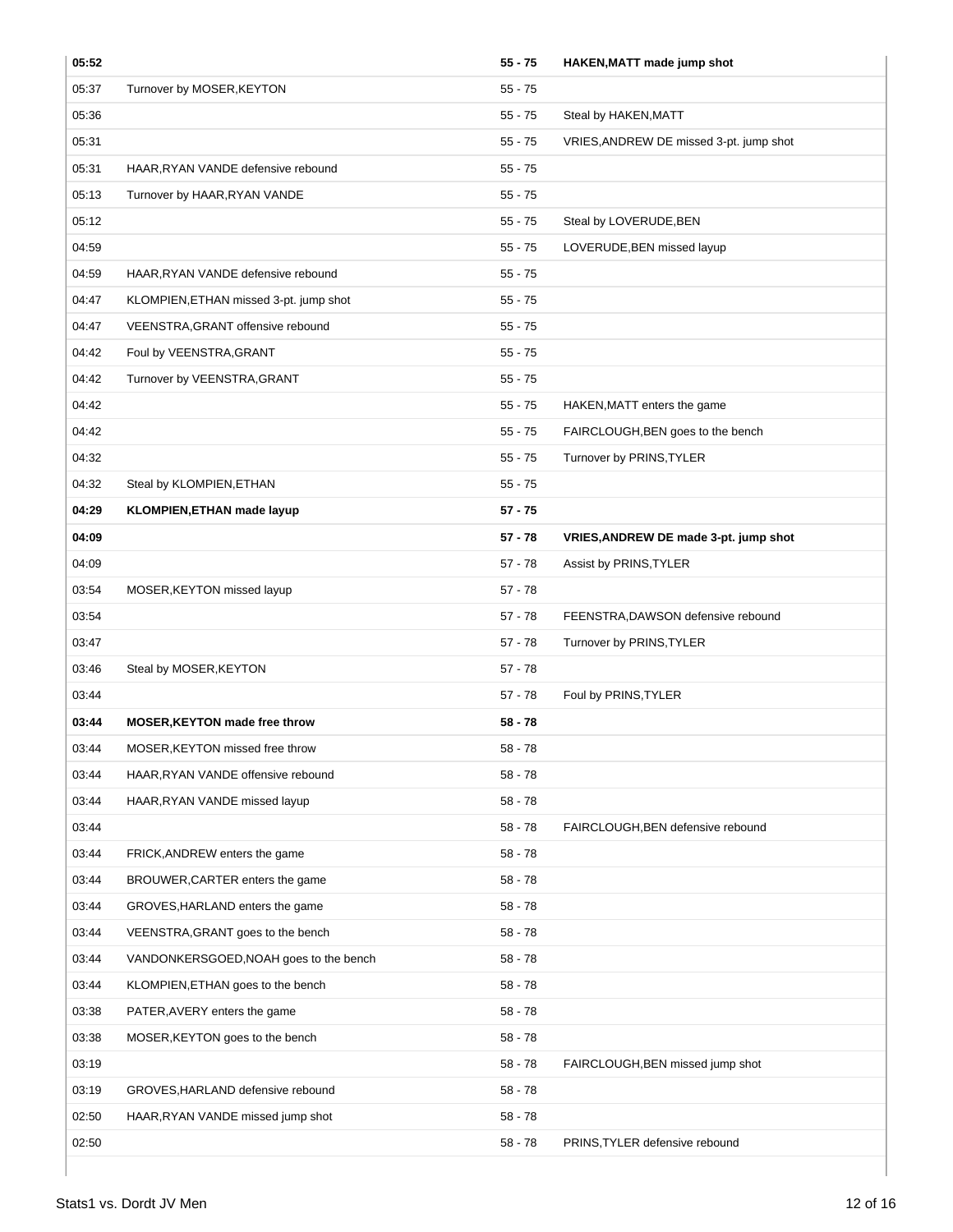| 05:52 |                                        | $55 - 75$ | HAKEN, MATT made jump shot              |
|-------|----------------------------------------|-----------|-----------------------------------------|
| 05:37 | Turnover by MOSER, KEYTON              | $55 - 75$ |                                         |
| 05:36 |                                        | $55 - 75$ | Steal by HAKEN, MATT                    |
| 05:31 |                                        | $55 - 75$ | VRIES, ANDREW DE missed 3-pt. jump shot |
| 05:31 | HAAR, RYAN VANDE defensive rebound     | $55 - 75$ |                                         |
| 05:13 | Turnover by HAAR, RYAN VANDE           | $55 - 75$ |                                         |
| 05:12 |                                        | $55 - 75$ | Steal by LOVERUDE, BEN                  |
| 04:59 |                                        | $55 - 75$ | LOVERUDE, BEN missed layup              |
| 04:59 | HAAR, RYAN VANDE defensive rebound     | $55 - 75$ |                                         |
| 04:47 | KLOMPIEN, ETHAN missed 3-pt. jump shot | $55 - 75$ |                                         |
| 04:47 | VEENSTRA, GRANT offensive rebound      | $55 - 75$ |                                         |
| 04:42 | Foul by VEENSTRA, GRANT                | $55 - 75$ |                                         |
| 04:42 | Turnover by VEENSTRA, GRANT            | $55 - 75$ |                                         |
| 04:42 |                                        | $55 - 75$ | HAKEN, MATT enters the game             |
| 04:42 |                                        | $55 - 75$ | FAIRCLOUGH, BEN goes to the bench       |
| 04:32 |                                        | $55 - 75$ | Turnover by PRINS, TYLER                |
| 04:32 | Steal by KLOMPIEN, ETHAN               | $55 - 75$ |                                         |
| 04:29 | <b>KLOMPIEN, ETHAN made layup</b>      | $57 - 75$ |                                         |
| 04:09 |                                        | $57 - 78$ | VRIES, ANDREW DE made 3-pt. jump shot   |
| 04:09 |                                        | $57 - 78$ | Assist by PRINS, TYLER                  |
| 03:54 | MOSER, KEYTON missed layup             | $57 - 78$ |                                         |
| 03:54 |                                        | $57 - 78$ | FEENSTRA, DAWSON defensive rebound      |
| 03:47 |                                        | $57 - 78$ | Turnover by PRINS, TYLER                |
| 03:46 | Steal by MOSER, KEYTON                 | $57 - 78$ |                                         |
| 03:44 |                                        | $57 - 78$ | Foul by PRINS, TYLER                    |
| 03:44 | <b>MOSER, KEYTON made free throw</b>   | $58 - 78$ |                                         |
| 03:44 | MOSER, KEYTON missed free throw        | $58 - 78$ |                                         |
| 03:44 | HAAR, RYAN VANDE offensive rebound     | $58 - 78$ |                                         |
| 03:44 | HAAR, RYAN VANDE missed layup          | $58 - 78$ |                                         |
| 03:44 |                                        | $58 - 78$ | FAIRCLOUGH, BEN defensive rebound       |
| 03:44 | FRICK, ANDREW enters the game          | $58 - 78$ |                                         |
| 03:44 | BROUWER, CARTER enters the game        | $58 - 78$ |                                         |
| 03:44 | GROVES, HARLAND enters the game        | $58 - 78$ |                                         |
| 03:44 | VEENSTRA, GRANT goes to the bench      | $58 - 78$ |                                         |
| 03:44 | VANDONKERSGOED, NOAH goes to the bench | $58 - 78$ |                                         |
| 03:44 | KLOMPIEN, ETHAN goes to the bench      | $58 - 78$ |                                         |
| 03:38 | PATER, AVERY enters the game           | 58 - 78   |                                         |
| 03:38 | MOSER, KEYTON goes to the bench        | $58 - 78$ |                                         |
| 03:19 |                                        | $58 - 78$ | FAIRCLOUGH, BEN missed jump shot        |
| 03:19 | GROVES, HARLAND defensive rebound      | $58 - 78$ |                                         |
| 02:50 | HAAR, RYAN VANDE missed jump shot      | $58 - 78$ |                                         |
| 02:50 |                                        | $58 - 78$ | PRINS, TYLER defensive rebound          |
|       |                                        |           |                                         |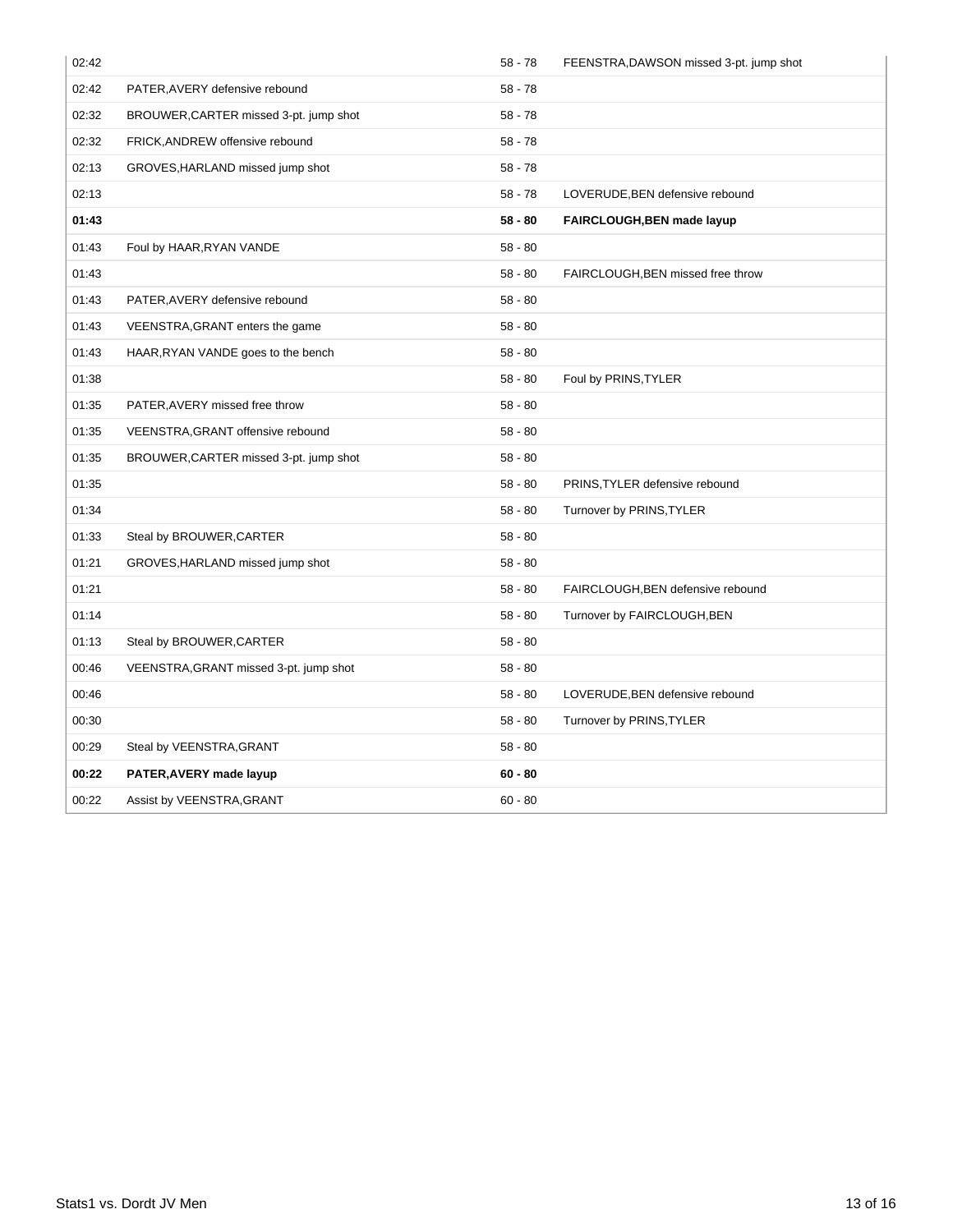| 02:42 |                                        | $58 - 78$ | FEENSTRA, DAWSON missed 3-pt. jump shot |
|-------|----------------------------------------|-----------|-----------------------------------------|
| 02:42 | PATER, AVERY defensive rebound         | $58 - 78$ |                                         |
| 02:32 | BROUWER, CARTER missed 3-pt. jump shot | $58 - 78$ |                                         |
| 02:32 | FRICK, ANDREW offensive rebound        | $58 - 78$ |                                         |
| 02:13 | GROVES, HARLAND missed jump shot       | $58 - 78$ |                                         |
| 02:13 |                                        | $58 - 78$ | LOVERUDE, BEN defensive rebound         |
| 01:43 |                                        | $58 - 80$ | FAIRCLOUGH, BEN made layup              |
| 01:43 | Foul by HAAR, RYAN VANDE               | $58 - 80$ |                                         |
| 01:43 |                                        | $58 - 80$ | FAIRCLOUGH, BEN missed free throw       |
| 01:43 | PATER, AVERY defensive rebound         | $58 - 80$ |                                         |
| 01:43 | VEENSTRA, GRANT enters the game        | $58 - 80$ |                                         |
| 01:43 | HAAR, RYAN VANDE goes to the bench     | $58 - 80$ |                                         |
| 01:38 |                                        | $58 - 80$ | Foul by PRINS, TYLER                    |
| 01:35 | PATER, AVERY missed free throw         | $58 - 80$ |                                         |
| 01:35 | VEENSTRA, GRANT offensive rebound      | $58 - 80$ |                                         |
| 01:35 | BROUWER, CARTER missed 3-pt. jump shot | $58 - 80$ |                                         |
| 01:35 |                                        | $58 - 80$ | PRINS, TYLER defensive rebound          |
| 01:34 |                                        | $58 - 80$ | Turnover by PRINS, TYLER                |
| 01:33 | Steal by BROUWER, CARTER               | $58 - 80$ |                                         |
| 01:21 | GROVES, HARLAND missed jump shot       | $58 - 80$ |                                         |
| 01:21 |                                        | $58 - 80$ | FAIRCLOUGH, BEN defensive rebound       |
| 01:14 |                                        | $58 - 80$ | Turnover by FAIRCLOUGH, BEN             |
| 01:13 | Steal by BROUWER, CARTER               | $58 - 80$ |                                         |
| 00:46 | VEENSTRA, GRANT missed 3-pt. jump shot | $58 - 80$ |                                         |
| 00:46 |                                        | $58 - 80$ | LOVERUDE, BEN defensive rebound         |
| 00:30 |                                        | $58 - 80$ | Turnover by PRINS, TYLER                |
| 00:29 | Steal by VEENSTRA, GRANT               | $58 - 80$ |                                         |
| 00:22 | PATER, AVERY made layup                | $60 - 80$ |                                         |
| 00:22 | Assist by VEENSTRA, GRANT              | $60 - 80$ |                                         |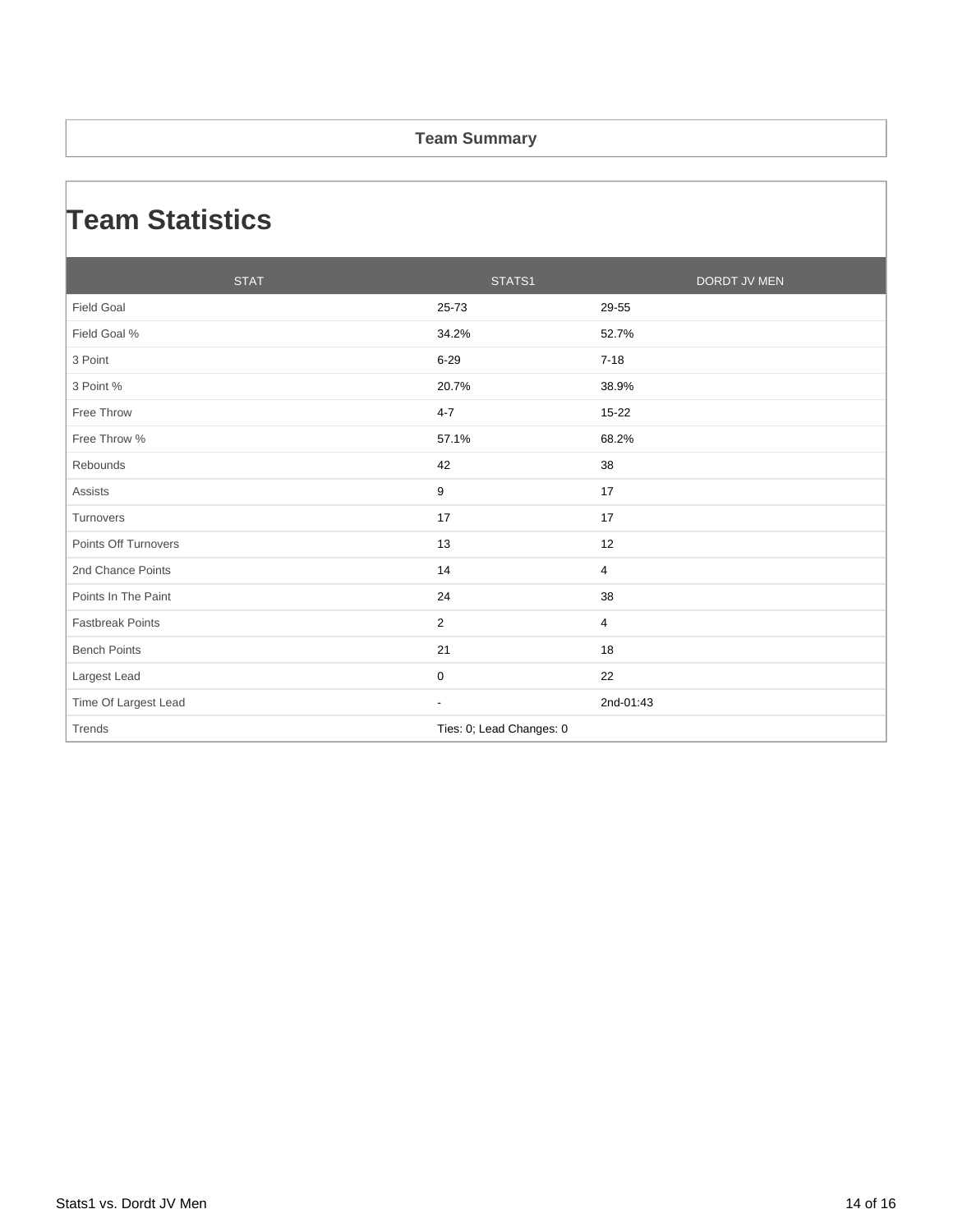#### **Team Summary**

### **Team Statistics**

| <b>STAT</b>             | STATS1                   |                | <b>DORDT JV MEN</b> |
|-------------------------|--------------------------|----------------|---------------------|
| <b>Field Goal</b>       | 25-73                    | 29-55          |                     |
| Field Goal %            | 34.2%                    | 52.7%          |                     |
| 3 Point                 | $6 - 29$                 | $7 - 18$       |                     |
| 3 Point %               | 20.7%                    | 38.9%          |                     |
| Free Throw              | $4 - 7$                  | 15-22          |                     |
| Free Throw %            | 57.1%                    | 68.2%          |                     |
| Rebounds                | 42                       | 38             |                     |
| <b>Assists</b>          | 9                        | 17             |                     |
| Turnovers               | 17                       | 17             |                     |
| Points Off Turnovers    | 13                       | 12             |                     |
| 2nd Chance Points       | 14                       | $\overline{4}$ |                     |
| Points In The Paint     | 24                       | 38             |                     |
| <b>Fastbreak Points</b> | 2                        | 4              |                     |
| <b>Bench Points</b>     | 21                       | 18             |                     |
| Largest Lead            | $\pmb{0}$                | 22             |                     |
| Time Of Largest Lead    | $\overline{\phantom{a}}$ | 2nd-01:43      |                     |
| Trends                  | Ties: 0; Lead Changes: 0 |                |                     |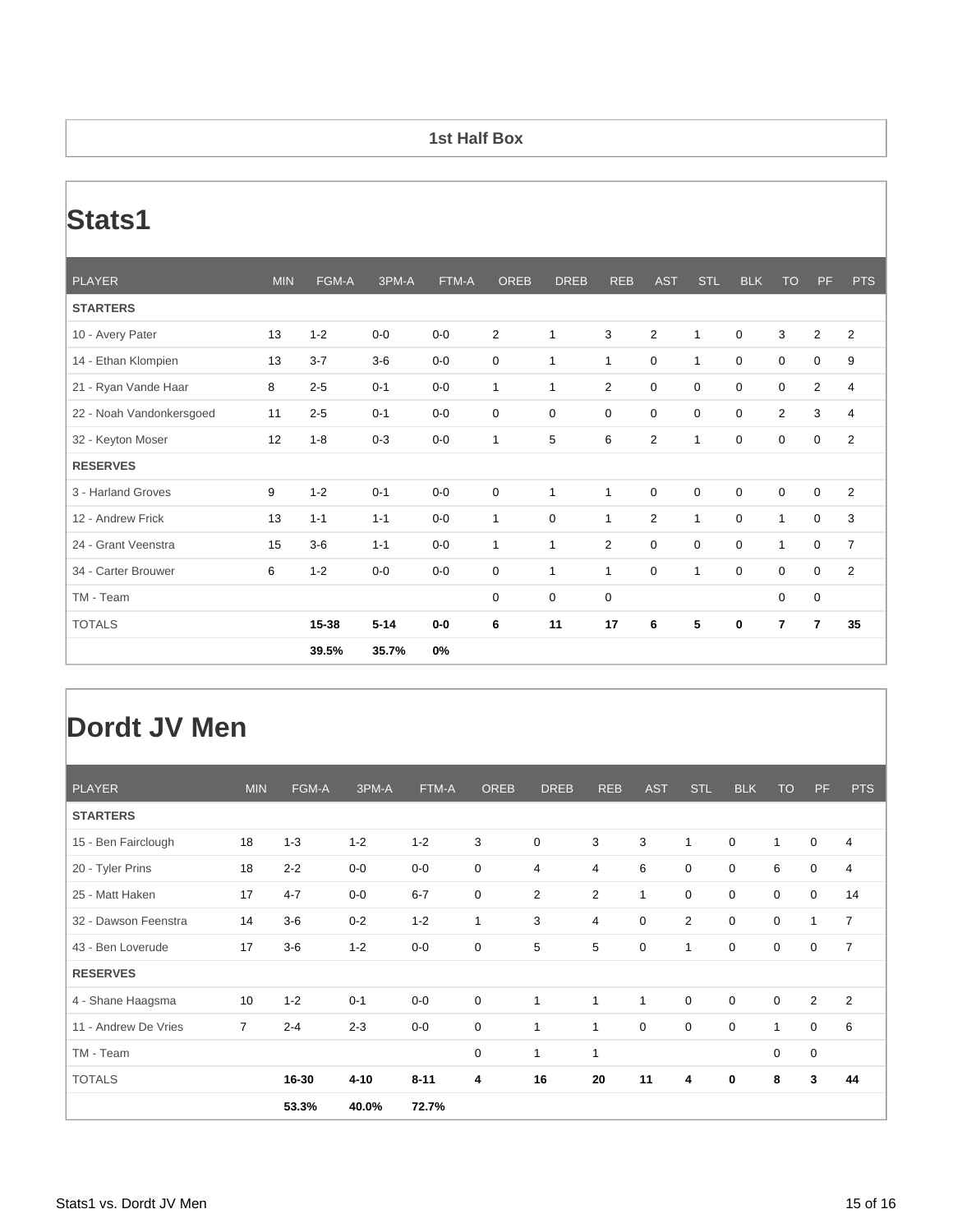#### **1st Half Box**

# **Stats1**

| <b>PLAYER</b>            | <b>MIN</b> | FGM-A   | 3PM-A    | FTM-A | <b>OREB</b> | <b>DREB</b>  | <b>REB</b>     | <b>AST</b>     | <b>STL</b>   | <b>BLK</b>  | <b>TO</b>      | <b>PF</b>        | <b>PTS</b>     |
|--------------------------|------------|---------|----------|-------|-------------|--------------|----------------|----------------|--------------|-------------|----------------|------------------|----------------|
| <b>STARTERS</b>          |            |         |          |       |             |              |                |                |              |             |                |                  |                |
| 10 - Avery Pater         | 13         | $1 - 2$ | $0-0$    | $0-0$ | 2           | $\mathbf{1}$ | 3              | $\overline{2}$ | $\mathbf{1}$ | $\mathbf 0$ | 3              | $\overline{2}$   | $\overline{2}$ |
| 14 - Ethan Klompien      | 13         | $3 - 7$ | $3-6$    | $0-0$ | 0           | $\mathbf{1}$ | 1              | $\mathbf 0$    | $\mathbf{1}$ | $\mathbf 0$ | 0              | 0                | 9              |
| 21 - Ryan Vande Haar     | 8          | $2 - 5$ | $0 - 1$  | $0-0$ | 1           | $\mathbf{1}$ | $\overline{2}$ | $\mathbf 0$    | 0            | 0           | $\mathbf 0$    | $\overline{2}$   | $\overline{4}$ |
| 22 - Noah Vandonkersgoed | 11         | $2 - 5$ | $0 - 1$  | $0-0$ | $\mathbf 0$ | $\mathbf 0$  | $\mathbf 0$    | $\mathbf 0$    | $\mathbf 0$  | $\mathbf 0$ | $\overline{2}$ | 3                | $\overline{4}$ |
| 32 - Keyton Moser        | 12         | $1 - 8$ | $0 - 3$  | $0-0$ | 1           | 5            | 6              | $\overline{2}$ | $\mathbf{1}$ | 0           | $\mathbf 0$    | 0                | $\overline{2}$ |
| <b>RESERVES</b>          |            |         |          |       |             |              |                |                |              |             |                |                  |                |
| 3 - Harland Groves       | 9          | $1 - 2$ | $0 - 1$  | $0-0$ | $\mathbf 0$ | 1            | $\mathbf{1}$   | $\mathbf 0$    | $\mathbf 0$  | $\mathbf 0$ | $\mathbf 0$    | $\mathbf 0$      | $\overline{2}$ |
| 12 - Andrew Frick        | 13         | $1 - 1$ | $1 - 1$  | $0-0$ | 1           | $\mathbf 0$  | 1              | 2              | $\mathbf{1}$ | $\mathbf 0$ | $\mathbf{1}$   | $\boldsymbol{0}$ | 3              |
| 24 - Grant Veenstra      | 15         | $3-6$   | $1 - 1$  | $0-0$ | 1           | $\mathbf{1}$ | $\overline{2}$ | $\mathbf 0$    | 0            | $\mathbf 0$ | $\mathbf{1}$   | $\boldsymbol{0}$ | $\overline{7}$ |
| 34 - Carter Brouwer      | 6          | $1 - 2$ | $0-0$    | $0-0$ | 0           | 1            | 1              | $\mathbf 0$    | $\mathbf{1}$ | 0           | $\mathbf 0$    | 0                | $\overline{2}$ |
| TM - Team                |            |         |          |       | $\mathbf 0$ | 0            | $\mathbf 0$    |                |              |             | $\mathbf 0$    | $\mathbf 0$      |                |
| <b>TOTALS</b>            |            | 15-38   | $5 - 14$ | $0-0$ | 6           | 11           | 17             | 6              | 5            | 0           | 7              | $\overline{7}$   | 35             |
|                          |            | 39.5%   | 35.7%    | 0%    |             |              |                |                |              |             |                |                  |                |

### **Dordt JV Men**

| <b>PLAYER</b>        | <b>MIN</b>     | FGM-A   | 3PM-A    | FTM-A    | <b>OREB</b>  | <b>DREB</b>    | <b>REB</b>     | <b>AST</b>  | <b>STL</b>  | <b>BLK</b>  | <b>TO</b>    | PF             | <b>PTS</b>     |
|----------------------|----------------|---------|----------|----------|--------------|----------------|----------------|-------------|-------------|-------------|--------------|----------------|----------------|
| <b>STARTERS</b>      |                |         |          |          |              |                |                |             |             |             |              |                |                |
| 15 - Ben Fairclough  | 18             | $1 - 3$ | $1 - 2$  | $1 - 2$  | 3            | $\mathbf 0$    | 3              | 3           | 1           | $\mathbf 0$ | $\mathbf{1}$ | $\mathbf 0$    | 4              |
| 20 - Tyler Prins     | 18             | $2 - 2$ | $0-0$    | $0-0$    | $\mathbf 0$  | $\overline{4}$ | 4              | 6           | $\mathbf 0$ | 0           | 6            | $\mathbf 0$    | 4              |
| 25 - Matt Haken      | 17             | $4 - 7$ | $0-0$    | $6 - 7$  | $\mathbf 0$  | 2              | $\overline{2}$ | 1           | $\mathbf 0$ | $\mathbf 0$ | 0            | $\mathbf 0$    | 14             |
| 32 - Dawson Feenstra | 14             | $3-6$   | $0 - 2$  | $1 - 2$  | $\mathbf{1}$ | 3              | 4              | $\mathbf 0$ | 2           | $\mathbf 0$ | $\mathbf 0$  | $\mathbf{1}$   | $\overline{7}$ |
| 43 - Ben Loverude    | 17             | $3-6$   | $1 - 2$  | $0-0$    | $\mathbf 0$  | 5              | 5              | $\pmb{0}$   | 1           | 0           | $\mathbf 0$  | $\mathbf 0$    | $\overline{7}$ |
| <b>RESERVES</b>      |                |         |          |          |              |                |                |             |             |             |              |                |                |
| 4 - Shane Haagsma    | 10             | $1 - 2$ | $0 - 1$  | $0-0$    | $\mathbf 0$  | 1              | $\mathbf{1}$   | 1           | $\mathbf 0$ | 0           | $\mathbf 0$  | $\overline{2}$ | $\overline{2}$ |
| 11 - Andrew De Vries | $\overline{7}$ | $2 - 4$ | $2 - 3$  | $0-0$    | $\mathbf 0$  | 1              | 1              | $\mathbf 0$ | $\mathbf 0$ | $\mathbf 0$ | $\mathbf{1}$ | $\mathbf 0$    | 6              |
| TM - Team            |                |         |          |          | 0            | $\mathbf{1}$   | $\mathbf{1}$   |             |             |             | 0            | $\mathbf 0$    |                |
| <b>TOTALS</b>        |                | 16-30   | $4 - 10$ | $8 - 11$ | 4            | 16             | 20             | 11          | 4           | $\bf{0}$    | 8            | 3              | 44             |
|                      |                | 53.3%   | 40.0%    | 72.7%    |              |                |                |             |             |             |              |                |                |